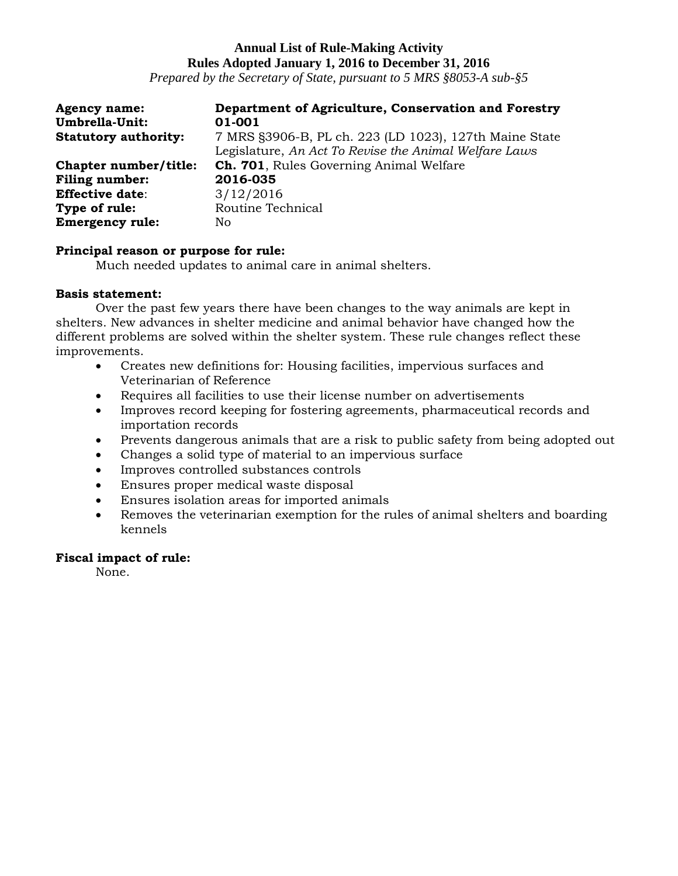*Prepared by the Secretary of State, pursuant to 5 MRS §8053-A sub-§5*

| <b>Agency name:</b>         | Department of Agriculture, Conservation and Forestry   |
|-----------------------------|--------------------------------------------------------|
| Umbrella-Unit:              | 01-001                                                 |
| <b>Statutory authority:</b> | 7 MRS §3906-B, PL ch. 223 (LD 1023), 127th Maine State |
|                             | Legislature, An Act To Revise the Animal Welfare Laws  |
| Chapter number/title:       | <b>Ch. 701</b> , Rules Governing Animal Welfare        |
| <b>Filing number:</b>       | 2016-035                                               |
| <b>Effective date:</b>      | 3/12/2016                                              |
| Type of rule:               | Routine Technical                                      |
| <b>Emergency rule:</b>      | No                                                     |

## **Principal reason or purpose for rule:**

Much needed updates to animal care in animal shelters.

## **Basis statement:**

Over the past few years there have been changes to the way animals are kept in shelters. New advances in shelter medicine and animal behavior have changed how the different problems are solved within the shelter system. These rule changes reflect these improvements.

- Creates new definitions for: Housing facilities, impervious surfaces and Veterinarian of Reference
- Requires all facilities to use their license number on advertisements
- Improves record keeping for fostering agreements, pharmaceutical records and importation records
- Prevents dangerous animals that are a risk to public safety from being adopted out
- Changes a solid type of material to an impervious surface
- Improves controlled substances controls
- Ensures proper medical waste disposal
- Ensures isolation areas for imported animals
- Removes the veterinarian exemption for the rules of animal shelters and boarding kennels

## **Fiscal impact of rule:**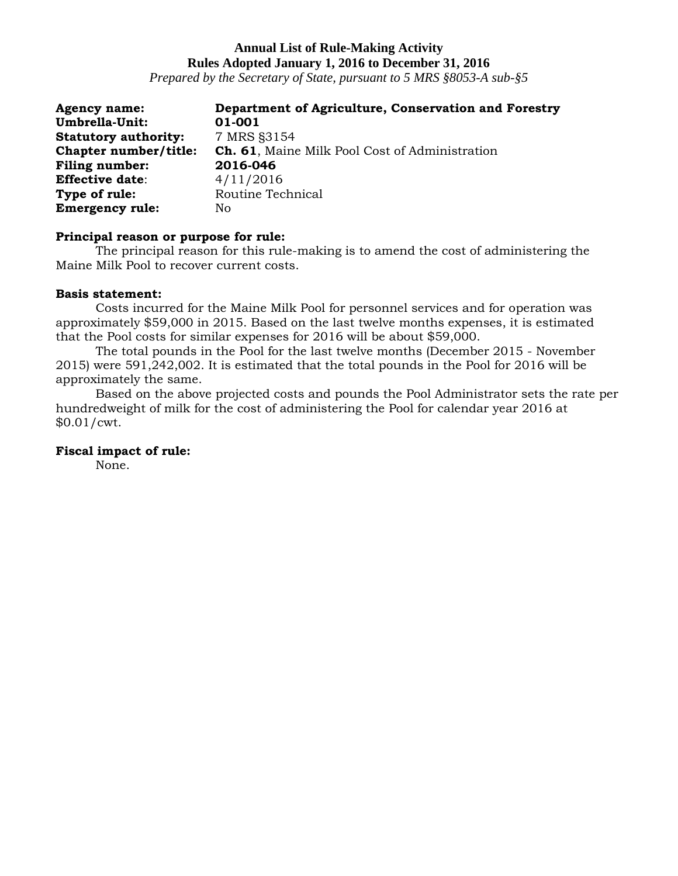*Prepared by the Secretary of State, pursuant to 5 MRS §8053-A sub-§5*

| <b>Agency name:</b>         | Department of Agriculture, Conservation and Forestry |
|-----------------------------|------------------------------------------------------|
| Umbrella-Unit:              | 01-001                                               |
| <b>Statutory authority:</b> | 7 MRS §3154                                          |
| Chapter number/title:       | Ch. 61, Maine Milk Pool Cost of Administration       |
| <b>Filing number:</b>       | 2016-046                                             |
| <b>Effective date:</b>      | 4/11/2016                                            |
| Type of rule:               | Routine Technical                                    |
| <b>Emergency rule:</b>      | No                                                   |

## **Principal reason or purpose for rule:**

The principal reason for this rule-making is to amend the cost of administering the Maine Milk Pool to recover current costs.

## **Basis statement:**

Costs incurred for the Maine Milk Pool for personnel services and for operation was approximately \$59,000 in 2015. Based on the last twelve months expenses, it is estimated that the Pool costs for similar expenses for 2016 will be about \$59,000.

The total pounds in the Pool for the last twelve months (December 2015 - November 2015) were 591,242,002. It is estimated that the total pounds in the Pool for 2016 will be approximately the same.

Based on the above projected costs and pounds the Pool Administrator sets the rate per hundredweight of milk for the cost of administering the Pool for calendar year 2016 at \$0.01/cwt.

## **Fiscal impact of rule:**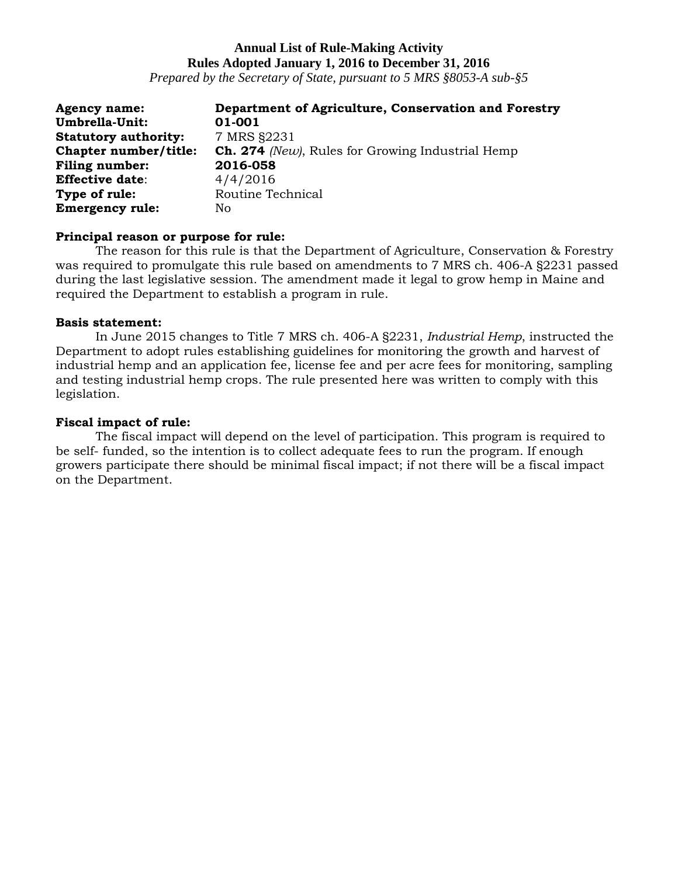*Prepared by the Secretary of State, pursuant to 5 MRS §8053-A sub-§5*

| <b>Agency name:</b>         | Department of Agriculture, Conservation and Forestry    |
|-----------------------------|---------------------------------------------------------|
| Umbrella-Unit:              | 01-001                                                  |
| <b>Statutory authority:</b> | 7 MRS §2231                                             |
| Chapter number/title:       | <b>Ch. 274</b> (New), Rules for Growing Industrial Hemp |
| <b>Filing number:</b>       | 2016-058                                                |
| <b>Effective date:</b>      | 4/4/2016                                                |
| Type of rule:               | Routine Technical                                       |
| <b>Emergency rule:</b>      | No                                                      |

## **Principal reason or purpose for rule:**

The reason for this rule is that the Department of Agriculture, Conservation & Forestry was required to promulgate this rule based on amendments to 7 MRS ch. 406-A §2231 passed during the last legislative session. The amendment made it legal to grow hemp in Maine and required the Department to establish a program in rule.

## **Basis statement:**

In June 2015 changes to Title 7 MRS ch. 406-A §2231, *Industrial Hemp*, instructed the Department to adopt rules establishing guidelines for monitoring the growth and harvest of industrial hemp and an application fee, license fee and per acre fees for monitoring, sampling and testing industrial hemp crops. The rule presented here was written to comply with this legislation.

## **Fiscal impact of rule:**

The fiscal impact will depend on the level of participation. This program is required to be self- funded, so the intention is to collect adequate fees to run the program. If enough growers participate there should be minimal fiscal impact; if not there will be a fiscal impact on the Department.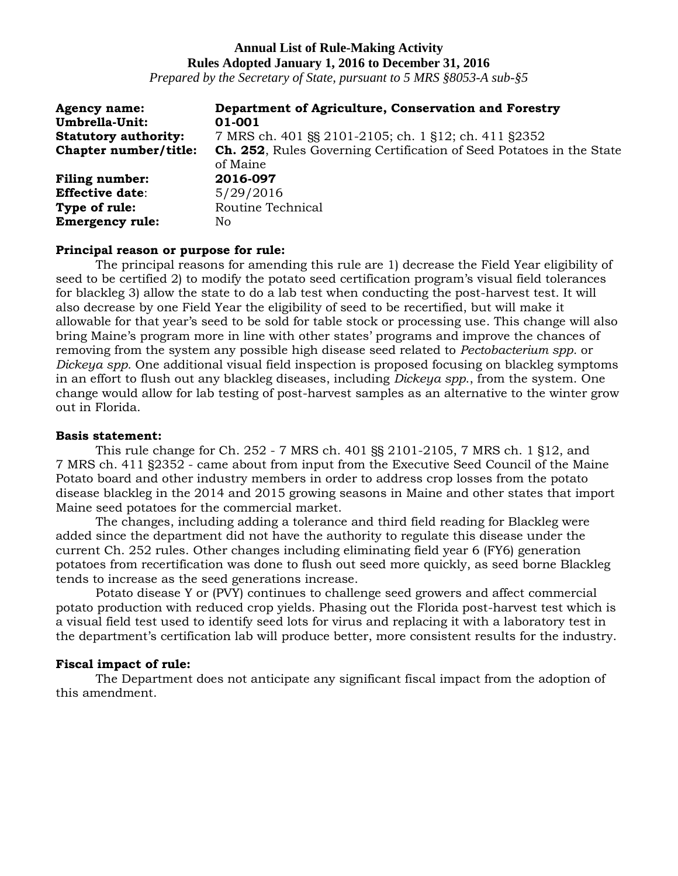*Prepared by the Secretary of State, pursuant to 5 MRS §8053-A sub-§5*

| <b>Agency name:</b><br>Umbrella-Unit: | Department of Agriculture, Conservation and Forestry<br>01-001                          |
|---------------------------------------|-----------------------------------------------------------------------------------------|
| <b>Statutory authority:</b>           | 7 MRS ch. 401 §§ 2101-2105; ch. 1 §12; ch. 411 §2352                                    |
| Chapter number/title:                 | <b>Ch. 252, Rules Governing Certification of Seed Potatoes in the State</b><br>of Maine |
| <b>Filing number:</b>                 | 2016-097                                                                                |
| <b>Effective date:</b>                | 5/29/2016                                                                               |
| Type of rule:                         | Routine Technical                                                                       |
| <b>Emergency rule:</b>                | No.                                                                                     |

#### **Principal reason or purpose for rule:**

The principal reasons for amending this rule are 1) decrease the Field Year eligibility of seed to be certified 2) to modify the potato seed certification program's visual field tolerances for blackleg 3) allow the state to do a lab test when conducting the post-harvest test. It will also decrease by one Field Year the eligibility of seed to be recertified, but will make it allowable for that year's seed to be sold for table stock or processing use. This change will also bring Maine's program more in line with other states' programs and improve the chances of removing from the system any possible high disease seed related to *Pectobacterium spp.* or *Dickeya spp.* One additional visual field inspection is proposed focusing on blackleg symptoms in an effort to flush out any blackleg diseases, including *Dickeya spp*., from the system. One change would allow for lab testing of post-harvest samples as an alternative to the winter grow out in Florida.

#### **Basis statement:**

This rule change for Ch. 252 - 7 MRS ch. 401 §§ 2101-2105, 7 MRS ch. 1 §12, and 7 MRS ch. 411 §2352 - came about from input from the Executive Seed Council of the Maine Potato board and other industry members in order to address crop losses from the potato disease blackleg in the 2014 and 2015 growing seasons in Maine and other states that import Maine seed potatoes for the commercial market.

The changes, including adding a tolerance and third field reading for Blackleg were added since the department did not have the authority to regulate this disease under the current Ch. 252 rules. Other changes including eliminating field year 6 (FY6) generation potatoes from recertification was done to flush out seed more quickly, as seed borne Blackleg tends to increase as the seed generations increase.

Potato disease Y or (PVY) continues to challenge seed growers and affect commercial potato production with reduced crop yields. Phasing out the Florida post-harvest test which is a visual field test used to identify seed lots for virus and replacing it with a laboratory test in the department's certification lab will produce better, more consistent results for the industry.

## **Fiscal impact of rule:**

The Department does not anticipate any significant fiscal impact from the adoption of this amendment.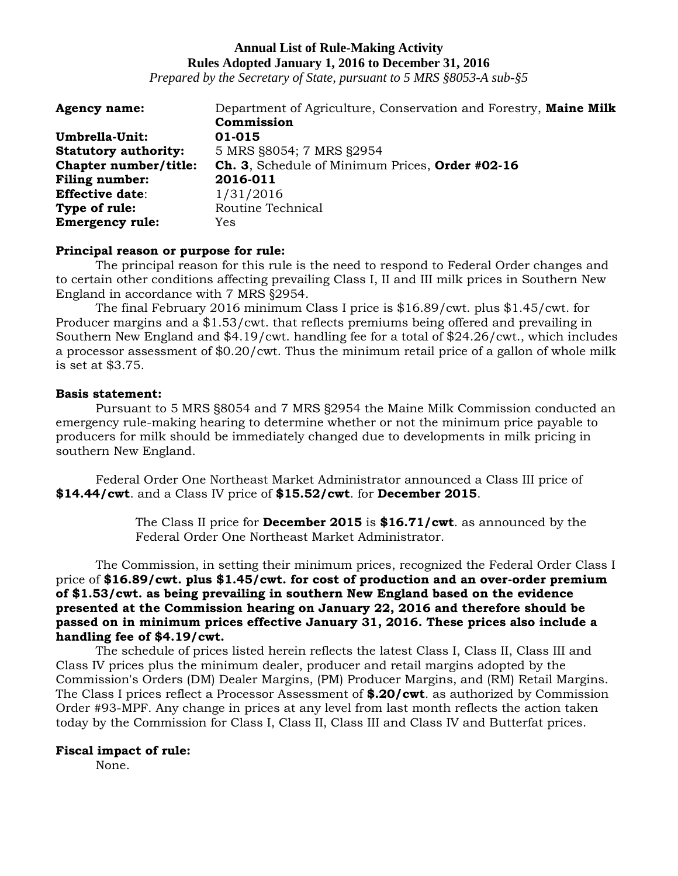*Prepared by the Secretary of State, pursuant to 5 MRS §8053-A sub-§5*

| <b>Agency name:</b>         | Department of Agriculture, Conservation and Forestry, Maine Milk |
|-----------------------------|------------------------------------------------------------------|
|                             | Commission                                                       |
| Umbrella-Unit:              | 01-015                                                           |
| <b>Statutory authority:</b> | 5 MRS §8054; 7 MRS §2954                                         |
| Chapter number/title:       | Ch. 3, Schedule of Minimum Prices, Order #02-16                  |
| <b>Filing number:</b>       | 2016-011                                                         |
| <b>Effective date:</b>      | 1/31/2016                                                        |
| Type of rule:               | Routine Technical                                                |
| <b>Emergency rule:</b>      | Yes                                                              |

## **Principal reason or purpose for rule:**

The principal reason for this rule is the need to respond to Federal Order changes and to certain other conditions affecting prevailing Class I, II and III milk prices in Southern New England in accordance with 7 MRS §2954.

The final February 2016 minimum Class I price is \$16.89/cwt. plus \$1.45/cwt. for Producer margins and a \$1.53/cwt. that reflects premiums being offered and prevailing in Southern New England and \$4.19/cwt. handling fee for a total of \$24.26/cwt., which includes a processor assessment of \$0.20/cwt. Thus the minimum retail price of a gallon of whole milk is set at \$3.75.

## **Basis statement:**

Pursuant to 5 MRS §8054 and 7 MRS §2954 the Maine Milk Commission conducted an emergency rule-making hearing to determine whether or not the minimum price payable to producers for milk should be immediately changed due to developments in milk pricing in southern New England.

Federal Order One Northeast Market Administrator announced a Class III price of **\$14.44/cwt**. and a Class IV price of **\$15.52/cwt**. for **December 2015**.

> The Class II price for **December 2015** is **\$16.71/cwt**. as announced by the Federal Order One Northeast Market Administrator.

The Commission, in setting their minimum prices, recognized the Federal Order Class I price of **\$16.89/cwt. plus \$1.45/cwt. for cost of production and an over-order premium of \$1.53/cwt. as being prevailing in southern New England based on the evidence presented at the Commission hearing on January 22, 2016 and therefore should be passed on in minimum prices effective January 31, 2016. These prices also include a handling fee of \$4.19/cwt.**

The schedule of prices listed herein reflects the latest Class I, Class II, Class III and Class IV prices plus the minimum dealer, producer and retail margins adopted by the Commission's Orders (DM) Dealer Margins, (PM) Producer Margins, and (RM) Retail Margins. The Class I prices reflect a Processor Assessment of **\$.20/cwt**. as authorized by Commission Order #93-MPF. Any change in prices at any level from last month reflects the action taken today by the Commission for Class I, Class II, Class III and Class IV and Butterfat prices.

## **Fiscal impact of rule:**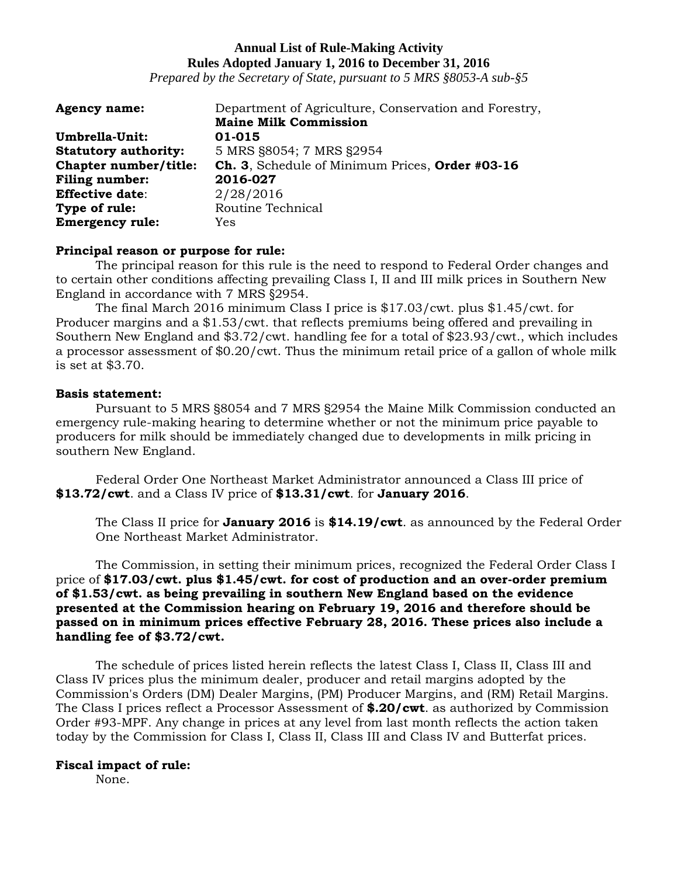*Prepared by the Secretary of State, pursuant to 5 MRS §8053-A sub-§5*

| <b>Agency name:</b>         | Department of Agriculture, Conservation and Forestry, |
|-----------------------------|-------------------------------------------------------|
|                             | <b>Maine Milk Commission</b>                          |
| Umbrella-Unit:              | 01-015                                                |
| <b>Statutory authority:</b> | 5 MRS §8054; 7 MRS §2954                              |
| Chapter number/title:       | Ch. 3, Schedule of Minimum Prices, Order #03-16       |
| <b>Filing number:</b>       | 2016-027                                              |
| <b>Effective date:</b>      | 2/28/2016                                             |
| Type of rule:               | Routine Technical                                     |
| <b>Emergency rule:</b>      | Yes                                                   |

#### **Principal reason or purpose for rule:**

The principal reason for this rule is the need to respond to Federal Order changes and to certain other conditions affecting prevailing Class I, II and III milk prices in Southern New England in accordance with 7 MRS §2954.

The final March 2016 minimum Class I price is \$17.03/cwt. plus \$1.45/cwt. for Producer margins and a \$1.53/cwt. that reflects premiums being offered and prevailing in Southern New England and \$3.72/cwt. handling fee for a total of \$23.93/cwt., which includes a processor assessment of \$0.20/cwt. Thus the minimum retail price of a gallon of whole milk is set at \$3.70.

## **Basis statement:**

Pursuant to 5 MRS §8054 and 7 MRS §2954 the Maine Milk Commission conducted an emergency rule-making hearing to determine whether or not the minimum price payable to producers for milk should be immediately changed due to developments in milk pricing in southern New England.

Federal Order One Northeast Market Administrator announced a Class III price of **\$13.72/cwt**. and a Class IV price of **\$13.31/cwt**. for **January 2016**.

The Class II price for **January 2016** is **\$14.19/cwt**. as announced by the Federal Order One Northeast Market Administrator.

The Commission, in setting their minimum prices, recognized the Federal Order Class I price of **\$17.03/cwt. plus \$1.45/cwt. for cost of production and an over-order premium of \$1.53/cwt. as being prevailing in southern New England based on the evidence presented at the Commission hearing on February 19, 2016 and therefore should be passed on in minimum prices effective February 28, 2016. These prices also include a handling fee of \$3.72/cwt.**

The schedule of prices listed herein reflects the latest Class I, Class II, Class III and Class IV prices plus the minimum dealer, producer and retail margins adopted by the Commission's Orders (DM) Dealer Margins, (PM) Producer Margins, and (RM) Retail Margins. The Class I prices reflect a Processor Assessment of **\$.20/cwt**. as authorized by Commission Order #93-MPF. Any change in prices at any level from last month reflects the action taken today by the Commission for Class I, Class II, Class III and Class IV and Butterfat prices.

## **Fiscal impact of rule:**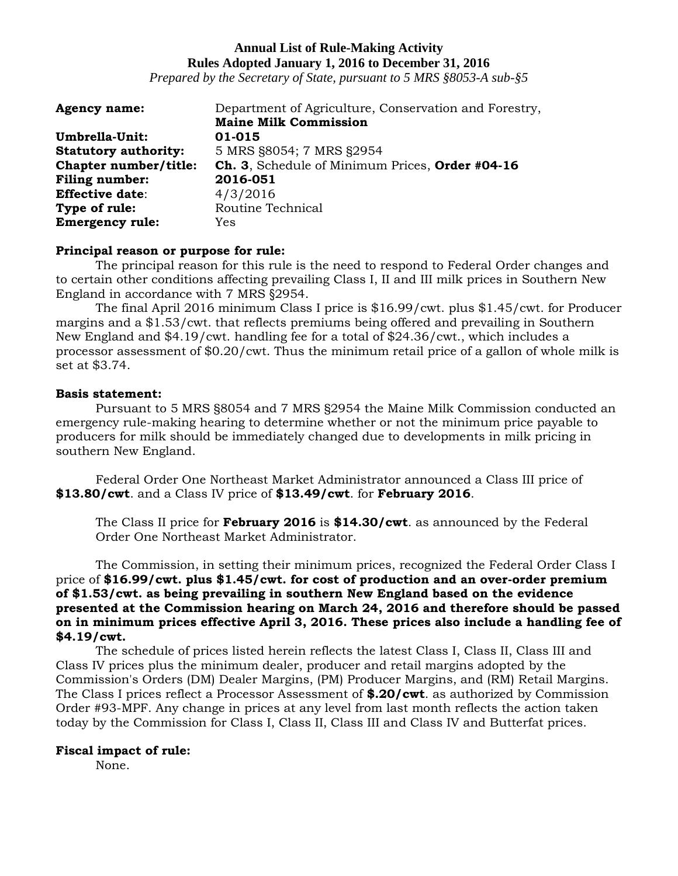*Prepared by the Secretary of State, pursuant to 5 MRS §8053-A sub-§5*

| <b>Agency name:</b>         | Department of Agriculture, Conservation and Forestry, |
|-----------------------------|-------------------------------------------------------|
|                             | <b>Maine Milk Commission</b>                          |
| Umbrella-Unit:              | 01-015                                                |
| <b>Statutory authority:</b> | 5 MRS §8054; 7 MRS §2954                              |
| Chapter number/title:       | Ch. 3, Schedule of Minimum Prices, Order #04-16       |
| <b>Filing number:</b>       | 2016-051                                              |
| <b>Effective date:</b>      | 4/3/2016                                              |
| Type of rule:               | Routine Technical                                     |
| <b>Emergency rule:</b>      | Yes                                                   |

#### **Principal reason or purpose for rule:**

The principal reason for this rule is the need to respond to Federal Order changes and to certain other conditions affecting prevailing Class I, II and III milk prices in Southern New England in accordance with 7 MRS §2954.

The final April 2016 minimum Class I price is \$16.99/cwt. plus \$1.45/cwt. for Producer margins and a \$1.53/cwt. that reflects premiums being offered and prevailing in Southern New England and \$4.19/cwt. handling fee for a total of \$24.36/cwt., which includes a processor assessment of \$0.20/cwt. Thus the minimum retail price of a gallon of whole milk is set at \$3.74.

## **Basis statement:**

Pursuant to 5 MRS §8054 and 7 MRS §2954 the Maine Milk Commission conducted an emergency rule-making hearing to determine whether or not the minimum price payable to producers for milk should be immediately changed due to developments in milk pricing in southern New England.

Federal Order One Northeast Market Administrator announced a Class III price of **\$13.80/cwt**. and a Class IV price of **\$13.49/cwt**. for **February 2016**.

The Class II price for **February 2016** is **\$14.30/cwt**. as announced by the Federal Order One Northeast Market Administrator.

The Commission, in setting their minimum prices, recognized the Federal Order Class I price of **\$16.99/cwt. plus \$1.45/cwt. for cost of production and an over-order premium of \$1.53/cwt. as being prevailing in southern New England based on the evidence presented at the Commission hearing on March 24, 2016 and therefore should be passed on in minimum prices effective April 3, 2016. These prices also include a handling fee of \$4.19/cwt.**

The schedule of prices listed herein reflects the latest Class I, Class II, Class III and Class IV prices plus the minimum dealer, producer and retail margins adopted by the Commission's Orders (DM) Dealer Margins, (PM) Producer Margins, and (RM) Retail Margins. The Class I prices reflect a Processor Assessment of **\$.20/cwt**. as authorized by Commission Order #93-MPF. Any change in prices at any level from last month reflects the action taken today by the Commission for Class I, Class II, Class III and Class IV and Butterfat prices.

## **Fiscal impact of rule:**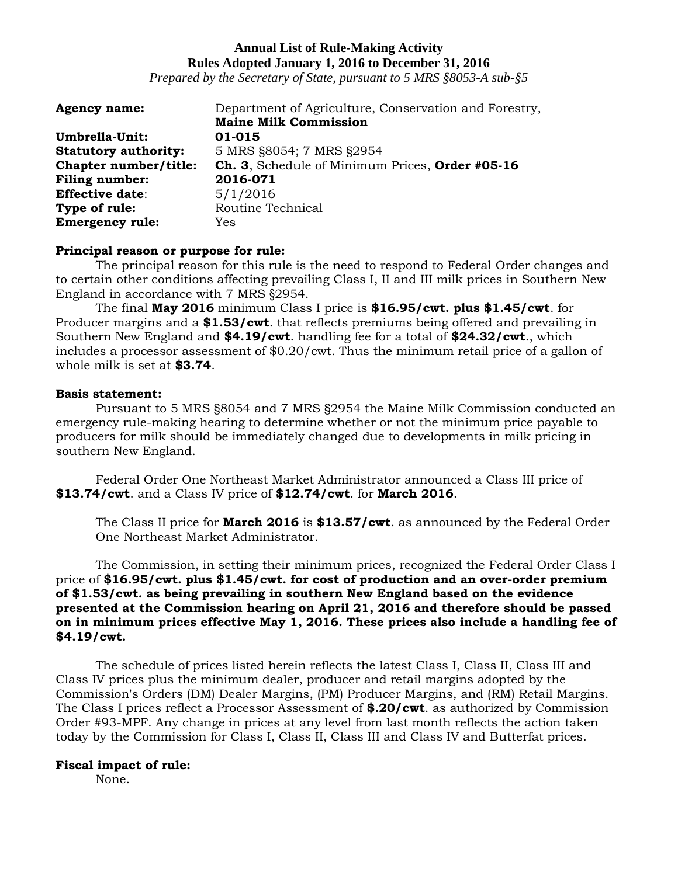*Prepared by the Secretary of State, pursuant to 5 MRS §8053-A sub-§5*

| <b>Agency name:</b>         | Department of Agriculture, Conservation and Forestry, |
|-----------------------------|-------------------------------------------------------|
|                             | <b>Maine Milk Commission</b>                          |
| Umbrella-Unit:              | 01-015                                                |
| <b>Statutory authority:</b> | 5 MRS §8054; 7 MRS §2954                              |
| Chapter number/title:       | Ch. 3, Schedule of Minimum Prices, Order #05-16       |
| <b>Filing number:</b>       | 2016-071                                              |
| <b>Effective date:</b>      | 5/1/2016                                              |
| Type of rule:               | Routine Technical                                     |
| <b>Emergency rule:</b>      | Yes                                                   |

#### **Principal reason or purpose for rule:**

The principal reason for this rule is the need to respond to Federal Order changes and to certain other conditions affecting prevailing Class I, II and III milk prices in Southern New England in accordance with 7 MRS §2954.

The final **May 2016** minimum Class I price is **\$16.95/cwt. plus \$1.45/cwt**. for Producer margins and a **\$1.53/cwt**. that reflects premiums being offered and prevailing in Southern New England and **\$4.19/cwt**. handling fee for a total of **\$24.32/cwt**., which includes a processor assessment of \$0.20/cwt. Thus the minimum retail price of a gallon of whole milk is set at **\$3.74**.

## **Basis statement:**

Pursuant to 5 MRS §8054 and 7 MRS §2954 the Maine Milk Commission conducted an emergency rule-making hearing to determine whether or not the minimum price payable to producers for milk should be immediately changed due to developments in milk pricing in southern New England.

Federal Order One Northeast Market Administrator announced a Class III price of **\$13.74/cwt**. and a Class IV price of **\$12.74/cwt**. for **March 2016**.

The Class II price for **March 2016** is **\$13.57/cwt**. as announced by the Federal Order One Northeast Market Administrator.

The Commission, in setting their minimum prices, recognized the Federal Order Class I price of **\$16.95/cwt. plus \$1.45/cwt. for cost of production and an over-order premium of \$1.53/cwt. as being prevailing in southern New England based on the evidence presented at the Commission hearing on April 21, 2016 and therefore should be passed on in minimum prices effective May 1, 2016. These prices also include a handling fee of \$4.19/cwt.**

The schedule of prices listed herein reflects the latest Class I, Class II, Class III and Class IV prices plus the minimum dealer, producer and retail margins adopted by the Commission's Orders (DM) Dealer Margins, (PM) Producer Margins, and (RM) Retail Margins. The Class I prices reflect a Processor Assessment of **\$.20/cwt**. as authorized by Commission Order #93-MPF. Any change in prices at any level from last month reflects the action taken today by the Commission for Class I, Class II, Class III and Class IV and Butterfat prices.

## **Fiscal impact of rule:**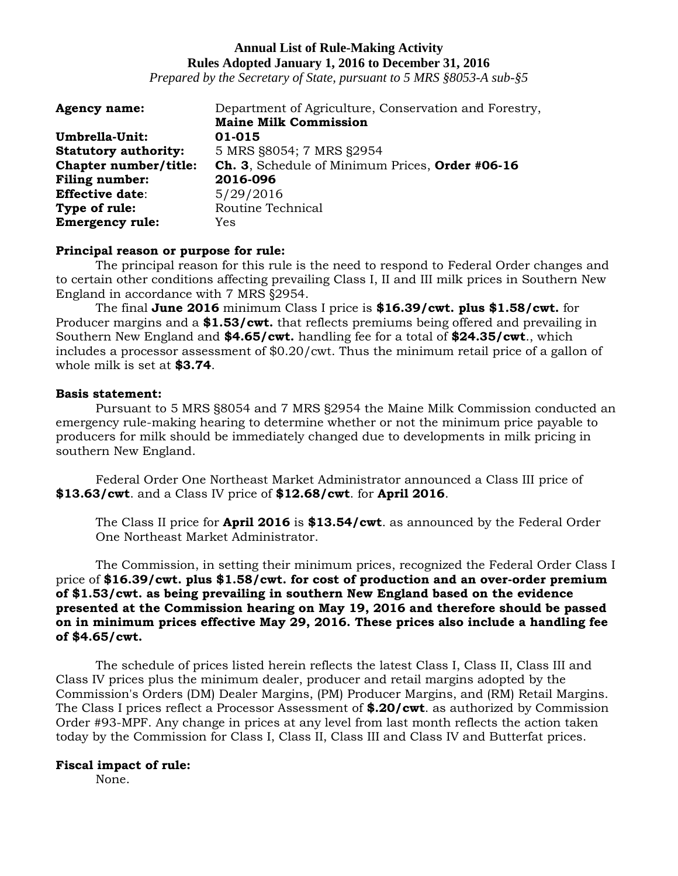*Prepared by the Secretary of State, pursuant to 5 MRS §8053-A sub-§5*

| <b>Agency name:</b>         | Department of Agriculture, Conservation and Forestry, |
|-----------------------------|-------------------------------------------------------|
|                             | <b>Maine Milk Commission</b>                          |
| Umbrella-Unit:              | 01-015                                                |
| <b>Statutory authority:</b> | 5 MRS §8054; 7 MRS §2954                              |
| Chapter number/title:       | Ch. 3, Schedule of Minimum Prices, Order #06-16       |
| <b>Filing number:</b>       | 2016-096                                              |
| <b>Effective date:</b>      | 5/29/2016                                             |
| Type of rule:               | Routine Technical                                     |
| <b>Emergency rule:</b>      | Yes                                                   |

## **Principal reason or purpose for rule:**

The principal reason for this rule is the need to respond to Federal Order changes and to certain other conditions affecting prevailing Class I, II and III milk prices in Southern New England in accordance with 7 MRS §2954.

The final **June 2016** minimum Class I price is **\$16.39/cwt. plus \$1.58/cwt.** for Producer margins and a **\$1.53/cwt.** that reflects premiums being offered and prevailing in Southern New England and **\$4.65/cwt.** handling fee for a total of **\$24.35/cwt**., which includes a processor assessment of \$0.20/cwt. Thus the minimum retail price of a gallon of whole milk is set at **\$3.74**.

## **Basis statement:**

Pursuant to 5 MRS §8054 and 7 MRS §2954 the Maine Milk Commission conducted an emergency rule-making hearing to determine whether or not the minimum price payable to producers for milk should be immediately changed due to developments in milk pricing in southern New England.

Federal Order One Northeast Market Administrator announced a Class III price of **\$13.63/cwt**. and a Class IV price of **\$12.68/cwt**. for **April 2016**.

The Class II price for **April 2016** is **\$13.54/cwt**. as announced by the Federal Order One Northeast Market Administrator.

The Commission, in setting their minimum prices, recognized the Federal Order Class I price of **\$16.39/cwt. plus \$1.58/cwt. for cost of production and an over-order premium of \$1.53/cwt. as being prevailing in southern New England based on the evidence presented at the Commission hearing on May 19, 2016 and therefore should be passed on in minimum prices effective May 29, 2016. These prices also include a handling fee of \$4.65/cwt.**

The schedule of prices listed herein reflects the latest Class I, Class II, Class III and Class IV prices plus the minimum dealer, producer and retail margins adopted by the Commission's Orders (DM) Dealer Margins, (PM) Producer Margins, and (RM) Retail Margins. The Class I prices reflect a Processor Assessment of **\$.20/cwt**. as authorized by Commission Order #93-MPF. Any change in prices at any level from last month reflects the action taken today by the Commission for Class I, Class II, Class III and Class IV and Butterfat prices.

## **Fiscal impact of rule:**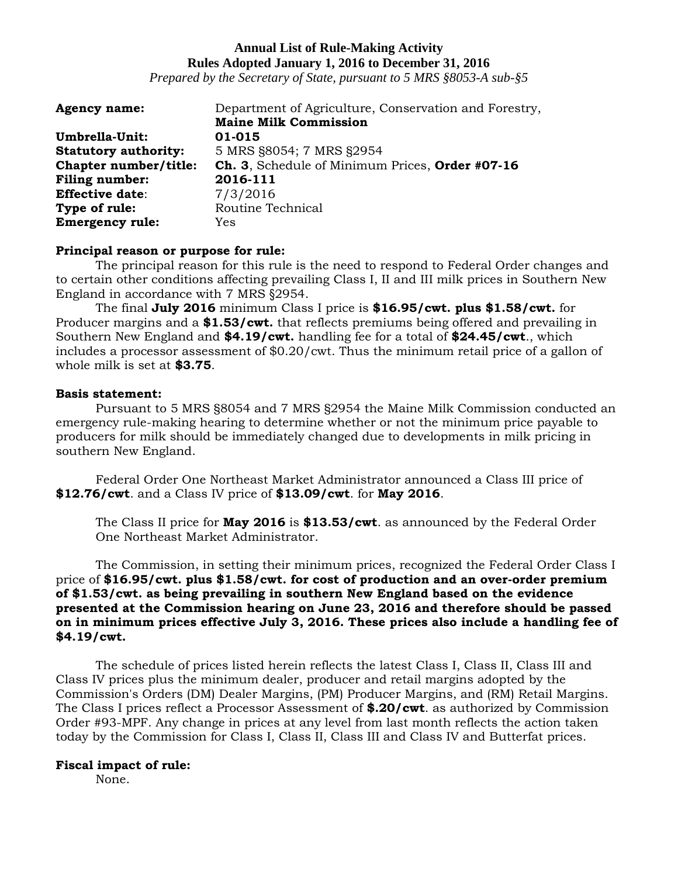*Prepared by the Secretary of State, pursuant to 5 MRS §8053-A sub-§5*

| <b>Agency name:</b>         | Department of Agriculture, Conservation and Forestry, |
|-----------------------------|-------------------------------------------------------|
|                             | <b>Maine Milk Commission</b>                          |
| Umbrella-Unit:              | 01-015                                                |
| <b>Statutory authority:</b> | 5 MRS §8054; 7 MRS §2954                              |
| Chapter number/title:       | Ch. 3, Schedule of Minimum Prices, Order #07-16       |
| <b>Filing number:</b>       | 2016-111                                              |
| <b>Effective date:</b>      | 7/3/2016                                              |
| Type of rule:               | Routine Technical                                     |
| <b>Emergency rule:</b>      | Yes                                                   |

#### **Principal reason or purpose for rule:**

The principal reason for this rule is the need to respond to Federal Order changes and to certain other conditions affecting prevailing Class I, II and III milk prices in Southern New England in accordance with 7 MRS §2954.

The final **July 2016** minimum Class I price is **\$16.95/cwt. plus \$1.58/cwt.** for Producer margins and a **\$1.53/cwt.** that reflects premiums being offered and prevailing in Southern New England and **\$4.19/cwt.** handling fee for a total of **\$24.45/cwt**., which includes a processor assessment of \$0.20/cwt. Thus the minimum retail price of a gallon of whole milk is set at **\$3.75**.

## **Basis statement:**

Pursuant to 5 MRS §8054 and 7 MRS §2954 the Maine Milk Commission conducted an emergency rule-making hearing to determine whether or not the minimum price payable to producers for milk should be immediately changed due to developments in milk pricing in southern New England.

Federal Order One Northeast Market Administrator announced a Class III price of **\$12.76/cwt**. and a Class IV price of **\$13.09/cwt**. for **May 2016**.

The Class II price for **May 2016** is **\$13.53/cwt**. as announced by the Federal Order One Northeast Market Administrator.

The Commission, in setting their minimum prices, recognized the Federal Order Class I price of **\$16.95/cwt. plus \$1.58/cwt. for cost of production and an over-order premium of \$1.53/cwt. as being prevailing in southern New England based on the evidence presented at the Commission hearing on June 23, 2016 and therefore should be passed on in minimum prices effective July 3, 2016. These prices also include a handling fee of \$4.19/cwt.**

The schedule of prices listed herein reflects the latest Class I, Class II, Class III and Class IV prices plus the minimum dealer, producer and retail margins adopted by the Commission's Orders (DM) Dealer Margins, (PM) Producer Margins, and (RM) Retail Margins. The Class I prices reflect a Processor Assessment of **\$.20/cwt**. as authorized by Commission Order #93-MPF. Any change in prices at any level from last month reflects the action taken today by the Commission for Class I, Class II, Class III and Class IV and Butterfat prices.

#### **Fiscal impact of rule:**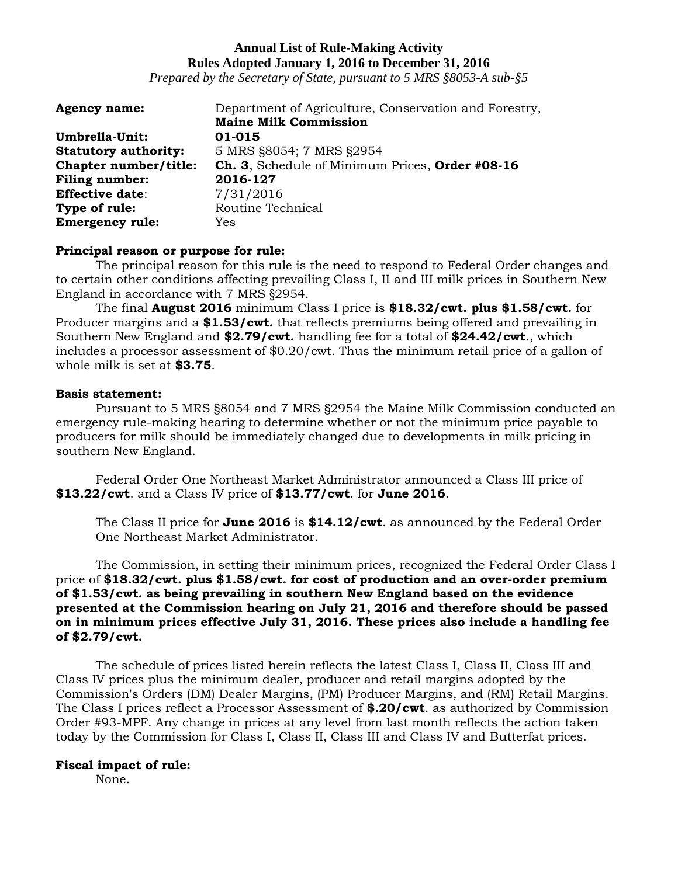*Prepared by the Secretary of State, pursuant to 5 MRS §8053-A sub-§5*

| <b>Agency name:</b>         | Department of Agriculture, Conservation and Forestry, |
|-----------------------------|-------------------------------------------------------|
|                             | <b>Maine Milk Commission</b>                          |
| Umbrella-Unit:              | 01-015                                                |
| <b>Statutory authority:</b> | 5 MRS §8054; 7 MRS §2954                              |
| Chapter number/title:       | Ch. 3, Schedule of Minimum Prices, Order #08-16       |
| <b>Filing number:</b>       | 2016-127                                              |
| <b>Effective date:</b>      | 7/31/2016                                             |
| Type of rule:               | Routine Technical                                     |
| <b>Emergency rule:</b>      | Yes                                                   |

## **Principal reason or purpose for rule:**

The principal reason for this rule is the need to respond to Federal Order changes and to certain other conditions affecting prevailing Class I, II and III milk prices in Southern New England in accordance with 7 MRS §2954.

The final **August 2016** minimum Class I price is **\$18.32/cwt. plus \$1.58/cwt.** for Producer margins and a **\$1.53/cwt.** that reflects premiums being offered and prevailing in Southern New England and **\$2.79/cwt.** handling fee for a total of **\$24.42/cwt**., which includes a processor assessment of \$0.20/cwt. Thus the minimum retail price of a gallon of whole milk is set at **\$3.75**.

## **Basis statement:**

Pursuant to 5 MRS §8054 and 7 MRS §2954 the Maine Milk Commission conducted an emergency rule-making hearing to determine whether or not the minimum price payable to producers for milk should be immediately changed due to developments in milk pricing in southern New England.

Federal Order One Northeast Market Administrator announced a Class III price of **\$13.22/cwt**. and a Class IV price of **\$13.77/cwt**. for **June 2016**.

The Class II price for **June 2016** is **\$14.12/cwt**. as announced by the Federal Order One Northeast Market Administrator.

The Commission, in setting their minimum prices, recognized the Federal Order Class I price of **\$18.32/cwt. plus \$1.58/cwt. for cost of production and an over-order premium of \$1.53/cwt. as being prevailing in southern New England based on the evidence presented at the Commission hearing on July 21, 2016 and therefore should be passed on in minimum prices effective July 31, 2016. These prices also include a handling fee of \$2.79/cwt.**

The schedule of prices listed herein reflects the latest Class I, Class II, Class III and Class IV prices plus the minimum dealer, producer and retail margins adopted by the Commission's Orders (DM) Dealer Margins, (PM) Producer Margins, and (RM) Retail Margins. The Class I prices reflect a Processor Assessment of **\$.20/cwt**. as authorized by Commission Order #93-MPF. Any change in prices at any level from last month reflects the action taken today by the Commission for Class I, Class II, Class III and Class IV and Butterfat prices.

## **Fiscal impact of rule:**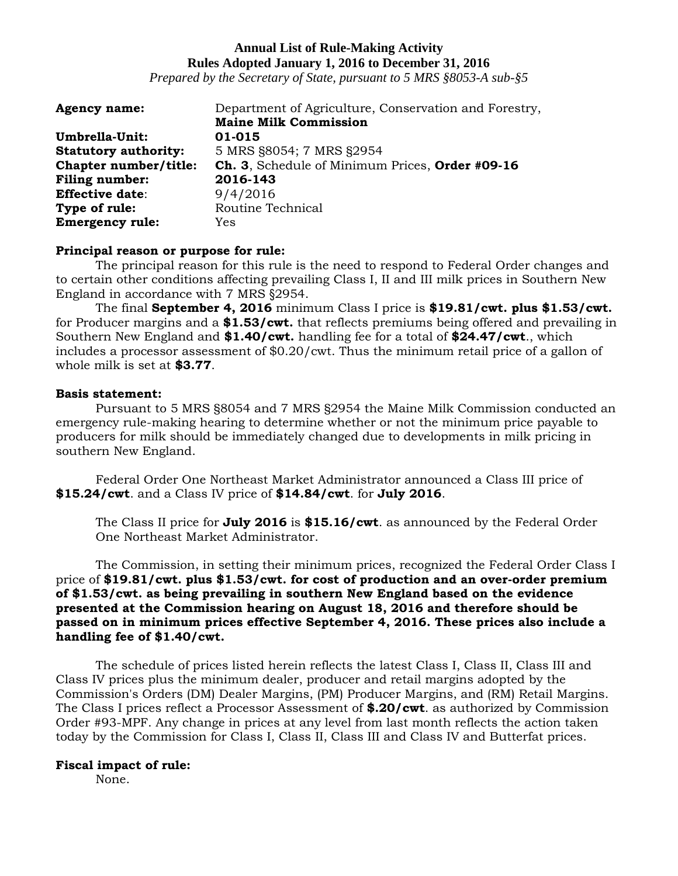*Prepared by the Secretary of State, pursuant to 5 MRS §8053-A sub-§5*

| <b>Agency name:</b>         | Department of Agriculture, Conservation and Forestry, |
|-----------------------------|-------------------------------------------------------|
|                             | <b>Maine Milk Commission</b>                          |
| Umbrella-Unit:              | 01-015                                                |
| <b>Statutory authority:</b> | 5 MRS §8054; 7 MRS §2954                              |
| Chapter number/title:       | Ch. 3, Schedule of Minimum Prices, Order #09-16       |
| <b>Filing number:</b>       | 2016-143                                              |
| <b>Effective date:</b>      | 9/4/2016                                              |
| Type of rule:               | Routine Technical                                     |
| <b>Emergency rule:</b>      | Yes                                                   |

#### **Principal reason or purpose for rule:**

The principal reason for this rule is the need to respond to Federal Order changes and to certain other conditions affecting prevailing Class I, II and III milk prices in Southern New England in accordance with 7 MRS §2954.

The final **September 4, 2016** minimum Class I price is **\$19.81/cwt. plus \$1.53/cwt.** for Producer margins and a **\$1.53/cwt.** that reflects premiums being offered and prevailing in Southern New England and **\$1.40/cwt.** handling fee for a total of **\$24.47/cwt**., which includes a processor assessment of \$0.20/cwt. Thus the minimum retail price of a gallon of whole milk is set at **\$3.77**.

## **Basis statement:**

Pursuant to 5 MRS §8054 and 7 MRS §2954 the Maine Milk Commission conducted an emergency rule-making hearing to determine whether or not the minimum price payable to producers for milk should be immediately changed due to developments in milk pricing in southern New England.

Federal Order One Northeast Market Administrator announced a Class III price of **\$15.24/cwt**. and a Class IV price of **\$14.84/cwt**. for **July 2016**.

The Class II price for **July 2016** is **\$15.16/cwt**. as announced by the Federal Order One Northeast Market Administrator.

The Commission, in setting their minimum prices, recognized the Federal Order Class I price of **\$19.81/cwt. plus \$1.53/cwt. for cost of production and an over-order premium of \$1.53/cwt. as being prevailing in southern New England based on the evidence presented at the Commission hearing on August 18, 2016 and therefore should be passed on in minimum prices effective September 4, 2016. These prices also include a handling fee of \$1.40/cwt.**

The schedule of prices listed herein reflects the latest Class I, Class II, Class III and Class IV prices plus the minimum dealer, producer and retail margins adopted by the Commission's Orders (DM) Dealer Margins, (PM) Producer Margins, and (RM) Retail Margins. The Class I prices reflect a Processor Assessment of **\$.20/cwt**. as authorized by Commission Order #93-MPF. Any change in prices at any level from last month reflects the action taken today by the Commission for Class I, Class II, Class III and Class IV and Butterfat prices.

## **Fiscal impact of rule:**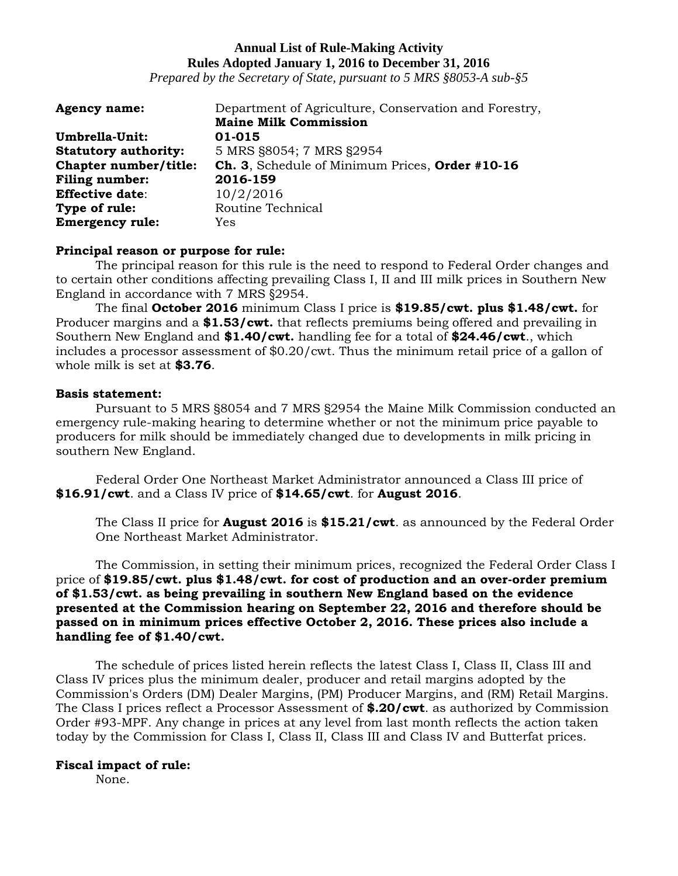*Prepared by the Secretary of State, pursuant to 5 MRS §8053-A sub-§5*

| <b>Agency name:</b>         | Department of Agriculture, Conservation and Forestry, |
|-----------------------------|-------------------------------------------------------|
|                             | <b>Maine Milk Commission</b>                          |
| Umbrella-Unit:              | 01-015                                                |
| <b>Statutory authority:</b> | 5 MRS §8054; 7 MRS §2954                              |
| Chapter number/title:       | Ch. 3, Schedule of Minimum Prices, Order #10-16       |
| <b>Filing number:</b>       | 2016-159                                              |
| <b>Effective date:</b>      | 10/2/2016                                             |
| Type of rule:               | Routine Technical                                     |
| <b>Emergency rule:</b>      | Yes                                                   |

#### **Principal reason or purpose for rule:**

The principal reason for this rule is the need to respond to Federal Order changes and to certain other conditions affecting prevailing Class I, II and III milk prices in Southern New England in accordance with 7 MRS §2954.

The final **October 2016** minimum Class I price is **\$19.85/cwt. plus \$1.48/cwt.** for Producer margins and a **\$1.53/cwt.** that reflects premiums being offered and prevailing in Southern New England and **\$1.40/cwt.** handling fee for a total of **\$24.46/cwt**., which includes a processor assessment of \$0.20/cwt. Thus the minimum retail price of a gallon of whole milk is set at **\$3.76**.

## **Basis statement:**

Pursuant to 5 MRS §8054 and 7 MRS §2954 the Maine Milk Commission conducted an emergency rule-making hearing to determine whether or not the minimum price payable to producers for milk should be immediately changed due to developments in milk pricing in southern New England.

Federal Order One Northeast Market Administrator announced a Class III price of **\$16.91/cwt**. and a Class IV price of **\$14.65/cwt**. for **August 2016**.

The Class II price for **August 2016** is **\$15.21/cwt**. as announced by the Federal Order One Northeast Market Administrator.

The Commission, in setting their minimum prices, recognized the Federal Order Class I price of **\$19.85/cwt. plus \$1.48/cwt. for cost of production and an over-order premium of \$1.53/cwt. as being prevailing in southern New England based on the evidence presented at the Commission hearing on September 22, 2016 and therefore should be passed on in minimum prices effective October 2, 2016. These prices also include a handling fee of \$1.40/cwt.**

The schedule of prices listed herein reflects the latest Class I, Class II, Class III and Class IV prices plus the minimum dealer, producer and retail margins adopted by the Commission's Orders (DM) Dealer Margins, (PM) Producer Margins, and (RM) Retail Margins. The Class I prices reflect a Processor Assessment of **\$.20/cwt**. as authorized by Commission Order #93-MPF. Any change in prices at any level from last month reflects the action taken today by the Commission for Class I, Class II, Class III and Class IV and Butterfat prices.

#### **Fiscal impact of rule:**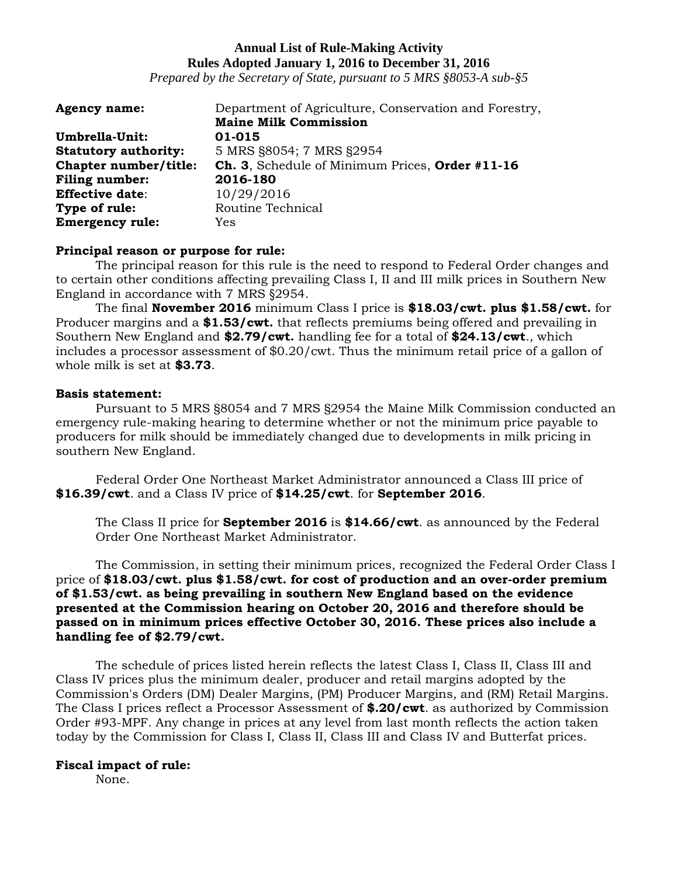*Prepared by the Secretary of State, pursuant to 5 MRS §8053-A sub-§5*

| Department of Agriculture, Conservation and Forestry, |
|-------------------------------------------------------|
| <b>Maine Milk Commission</b>                          |
| 01-015                                                |
| 5 MRS §8054; 7 MRS §2954                              |
| Ch. 3, Schedule of Minimum Prices, Order #11-16       |
| 2016-180                                              |
| 10/29/2016                                            |
| Routine Technical                                     |
| Yes                                                   |
|                                                       |

#### **Principal reason or purpose for rule:**

The principal reason for this rule is the need to respond to Federal Order changes and to certain other conditions affecting prevailing Class I, II and III milk prices in Southern New England in accordance with 7 MRS §2954.

The final **November 2016** minimum Class I price is **\$18.03/cwt. plus \$1.58/cwt.** for Producer margins and a **\$1.53/cwt.** that reflects premiums being offered and prevailing in Southern New England and **\$2.79/cwt.** handling fee for a total of **\$24.13/cwt**., which includes a processor assessment of \$0.20/cwt. Thus the minimum retail price of a gallon of whole milk is set at **\$3.73**.

## **Basis statement:**

Pursuant to 5 MRS §8054 and 7 MRS §2954 the Maine Milk Commission conducted an emergency rule-making hearing to determine whether or not the minimum price payable to producers for milk should be immediately changed due to developments in milk pricing in southern New England.

Federal Order One Northeast Market Administrator announced a Class III price of **\$16.39/cwt**. and a Class IV price of **\$14.25/cwt**. for **September 2016**.

The Class II price for **September 2016** is **\$14.66/cwt**. as announced by the Federal Order One Northeast Market Administrator.

The Commission, in setting their minimum prices, recognized the Federal Order Class I price of **\$18.03/cwt. plus \$1.58/cwt. for cost of production and an over-order premium of \$1.53/cwt. as being prevailing in southern New England based on the evidence presented at the Commission hearing on October 20, 2016 and therefore should be passed on in minimum prices effective October 30, 2016. These prices also include a handling fee of \$2.79/cwt.**

The schedule of prices listed herein reflects the latest Class I, Class II, Class III and Class IV prices plus the minimum dealer, producer and retail margins adopted by the Commission's Orders (DM) Dealer Margins, (PM) Producer Margins, and (RM) Retail Margins. The Class I prices reflect a Processor Assessment of **\$.20/cwt**. as authorized by Commission Order #93-MPF. Any change in prices at any level from last month reflects the action taken today by the Commission for Class I, Class II, Class III and Class IV and Butterfat prices.

#### **Fiscal impact of rule:**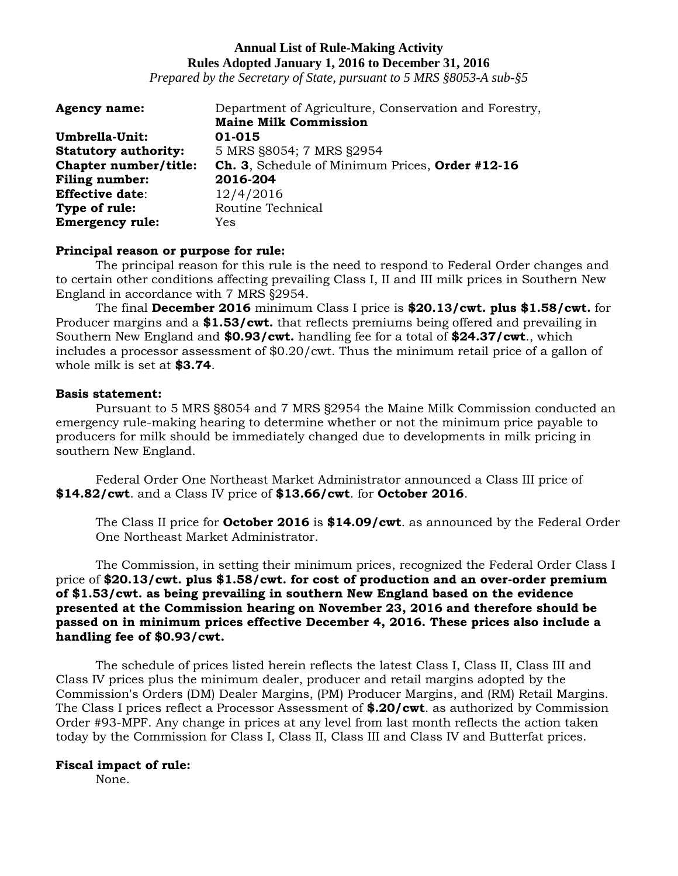*Prepared by the Secretary of State, pursuant to 5 MRS §8053-A sub-§5*

| <b>Agency name:</b>         | Department of Agriculture, Conservation and Forestry, |
|-----------------------------|-------------------------------------------------------|
|                             | <b>Maine Milk Commission</b>                          |
| Umbrella-Unit:              | 01-015                                                |
| <b>Statutory authority:</b> | 5 MRS §8054; 7 MRS §2954                              |
| Chapter number/title:       | Ch. 3, Schedule of Minimum Prices, Order #12-16       |
| <b>Filing number:</b>       | 2016-204                                              |
| <b>Effective date:</b>      | 12/4/2016                                             |
| Type of rule:               | Routine Technical                                     |
| <b>Emergency rule:</b>      | Yes                                                   |

#### **Principal reason or purpose for rule:**

The principal reason for this rule is the need to respond to Federal Order changes and to certain other conditions affecting prevailing Class I, II and III milk prices in Southern New England in accordance with 7 MRS §2954.

The final **December 2016** minimum Class I price is **\$20.13/cwt. plus \$1.58/cwt.** for Producer margins and a **\$1.53/cwt.** that reflects premiums being offered and prevailing in Southern New England and **\$0.93/cwt.** handling fee for a total of **\$24.37/cwt**., which includes a processor assessment of \$0.20/cwt. Thus the minimum retail price of a gallon of whole milk is set at **\$3.74**.

## **Basis statement:**

Pursuant to 5 MRS §8054 and 7 MRS §2954 the Maine Milk Commission conducted an emergency rule-making hearing to determine whether or not the minimum price payable to producers for milk should be immediately changed due to developments in milk pricing in southern New England.

Federal Order One Northeast Market Administrator announced a Class III price of **\$14.82/cwt**. and a Class IV price of **\$13.66/cwt**. for **October 2016**.

The Class II price for **October 2016** is **\$14.09/cwt**. as announced by the Federal Order One Northeast Market Administrator.

The Commission, in setting their minimum prices, recognized the Federal Order Class I price of **\$20.13/cwt. plus \$1.58/cwt. for cost of production and an over-order premium of \$1.53/cwt. as being prevailing in southern New England based on the evidence presented at the Commission hearing on November 23, 2016 and therefore should be passed on in minimum prices effective December 4, 2016. These prices also include a handling fee of \$0.93/cwt.**

The schedule of prices listed herein reflects the latest Class I, Class II, Class III and Class IV prices plus the minimum dealer, producer and retail margins adopted by the Commission's Orders (DM) Dealer Margins, (PM) Producer Margins, and (RM) Retail Margins. The Class I prices reflect a Processor Assessment of **\$.20/cwt**. as authorized by Commission Order #93-MPF. Any change in prices at any level from last month reflects the action taken today by the Commission for Class I, Class II, Class III and Class IV and Butterfat prices.

## **Fiscal impact of rule:**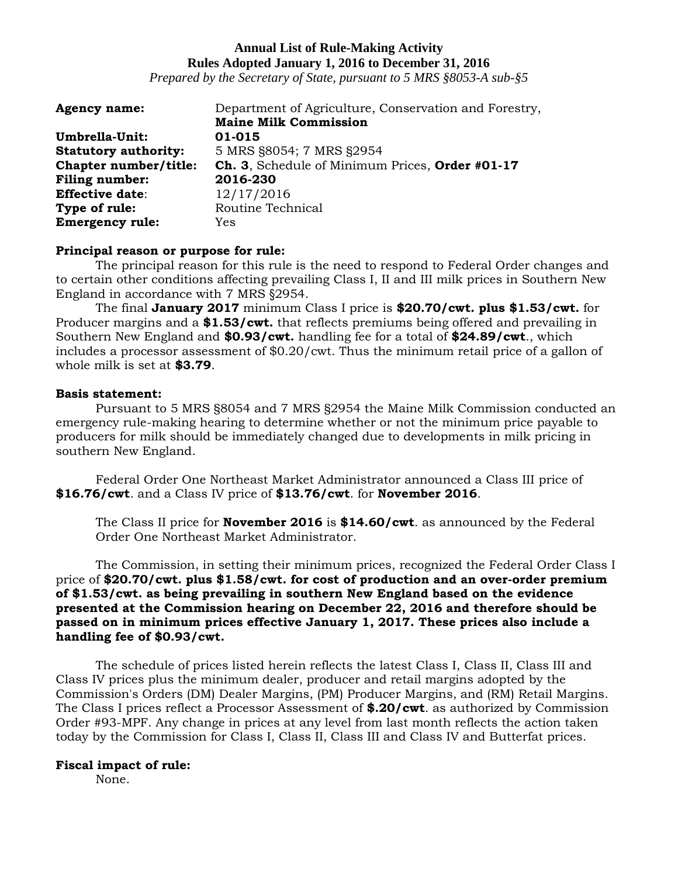*Prepared by the Secretary of State, pursuant to 5 MRS §8053-A sub-§5*

| <b>Agency name:</b>         | Department of Agriculture, Conservation and Forestry, |
|-----------------------------|-------------------------------------------------------|
|                             | <b>Maine Milk Commission</b>                          |
| Umbrella-Unit:              | 01-015                                                |
| <b>Statutory authority:</b> | 5 MRS §8054; 7 MRS §2954                              |
| Chapter number/title:       | Ch. 3, Schedule of Minimum Prices, Order #01-17       |
| <b>Filing number:</b>       | 2016-230                                              |
| <b>Effective date:</b>      | 12/17/2016                                            |
| Type of rule:               | Routine Technical                                     |
| <b>Emergency rule:</b>      | Yes                                                   |

#### **Principal reason or purpose for rule:**

The principal reason for this rule is the need to respond to Federal Order changes and to certain other conditions affecting prevailing Class I, II and III milk prices in Southern New England in accordance with 7 MRS §2954.

The final **January 2017** minimum Class I price is **\$20.70/cwt. plus \$1.53/cwt.** for Producer margins and a **\$1.53/cwt.** that reflects premiums being offered and prevailing in Southern New England and **\$0.93/cwt.** handling fee for a total of **\$24.89/cwt**., which includes a processor assessment of \$0.20/cwt. Thus the minimum retail price of a gallon of whole milk is set at **\$3.79**.

## **Basis statement:**

Pursuant to 5 MRS §8054 and 7 MRS §2954 the Maine Milk Commission conducted an emergency rule-making hearing to determine whether or not the minimum price payable to producers for milk should be immediately changed due to developments in milk pricing in southern New England.

Federal Order One Northeast Market Administrator announced a Class III price of **\$16.76/cwt**. and a Class IV price of **\$13.76/cwt**. for **November 2016**.

The Class II price for **November 2016** is **\$14.60/cwt**. as announced by the Federal Order One Northeast Market Administrator.

The Commission, in setting their minimum prices, recognized the Federal Order Class I price of **\$20.70/cwt. plus \$1.58/cwt. for cost of production and an over-order premium of \$1.53/cwt. as being prevailing in southern New England based on the evidence presented at the Commission hearing on December 22, 2016 and therefore should be passed on in minimum prices effective January 1, 2017. These prices also include a handling fee of \$0.93/cwt.**

The schedule of prices listed herein reflects the latest Class I, Class II, Class III and Class IV prices plus the minimum dealer, producer and retail margins adopted by the Commission's Orders (DM) Dealer Margins, (PM) Producer Margins, and (RM) Retail Margins. The Class I prices reflect a Processor Assessment of **\$.20/cwt**. as authorized by Commission Order #93-MPF. Any change in prices at any level from last month reflects the action taken today by the Commission for Class I, Class II, Class III and Class IV and Butterfat prices.

## **Fiscal impact of rule:**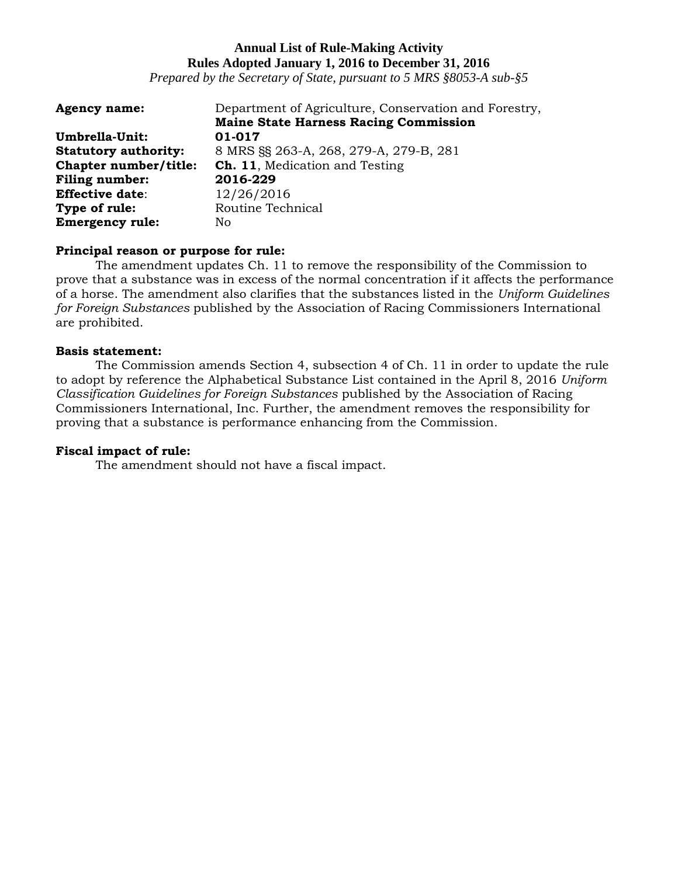*Prepared by the Secretary of State, pursuant to 5 MRS §8053-A sub-§5*

| <b>Agency name:</b>         | Department of Agriculture, Conservation and Forestry, |
|-----------------------------|-------------------------------------------------------|
|                             | <b>Maine State Harness Racing Commission</b>          |
| Umbrella-Unit:              | 01-017                                                |
| <b>Statutory authority:</b> | 8 MRS §§ 263-A, 268, 279-A, 279-B, 281                |
| Chapter number/title:       | <b>Ch. 11.</b> Medication and Testing                 |
| <b>Filing number:</b>       | 2016-229                                              |
| <b>Effective date:</b>      | 12/26/2016                                            |
| Type of rule:               | Routine Technical                                     |
| <b>Emergency rule:</b>      | No                                                    |

## **Principal reason or purpose for rule:**

The amendment updates Ch. 11 to remove the responsibility of the Commission to prove that a substance was in excess of the normal concentration if it affects the performance of a horse. The amendment also clarifies that the substances listed in the *Uniform Guidelines for Foreign Substances* published by the Association of Racing Commissioners International are prohibited.

## **Basis statement:**

The Commission amends Section 4, subsection 4 of Ch. 11 in order to update the rule to adopt by reference the Alphabetical Substance List contained in the April 8, 2016 *Uniform Classification Guidelines for Foreign Substances* published by the Association of Racing Commissioners International, Inc. Further, the amendment removes the responsibility for proving that a substance is performance enhancing from the Commission.

## **Fiscal impact of rule:**

The amendment should not have a fiscal impact.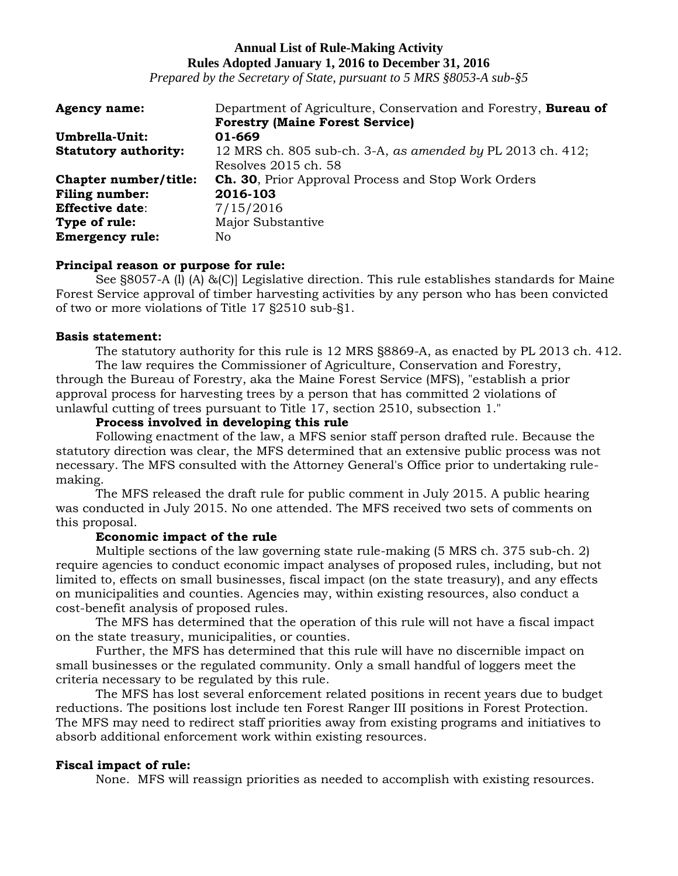*Prepared by the Secretary of State, pursuant to 5 MRS §8053-A sub-§5*

| <b>Agency name:</b>         | Department of Agriculture, Conservation and Forestry, <b>Bureau of</b> |
|-----------------------------|------------------------------------------------------------------------|
|                             | <b>Forestry (Maine Forest Service)</b>                                 |
| Umbrella-Unit:              | 01-669                                                                 |
| <b>Statutory authority:</b> | 12 MRS ch. 805 sub-ch. 3-A, as amended by PL 2013 ch. 412;             |
|                             | Resolves 2015 ch. 58                                                   |
| Chapter number/title:       | <b>Ch. 30, Prior Approval Process and Stop Work Orders</b>             |
| <b>Filing number:</b>       | 2016-103                                                               |
| <b>Effective date:</b>      | 7/15/2016                                                              |
| Type of rule:               | Major Substantive                                                      |
| <b>Emergency rule:</b>      | No                                                                     |

## **Principal reason or purpose for rule:**

See §8057-A (l) (A) &(C)] Legislative direction. This rule establishes standards for Maine Forest Service approval of timber harvesting activities by any person who has been convicted of two or more violations of Title 17 §2510 sub-§1.

## **Basis statement:**

The statutory authority for this rule is 12 MRS §8869-A, as enacted by PL 2013 ch. 412. The law requires the Commissioner of Agriculture, Conservation and Forestry, through the Bureau of Forestry, aka the Maine Forest Service (MFS), "establish a prior approval process for harvesting trees by a person that has committed 2 violations of unlawful cutting of trees pursuant to Title 17, section 2510, subsection 1."

## **Process involved in developing this rule**

Following enactment of the law, a MFS senior staff person drafted rule. Because the statutory direction was clear, the MFS determined that an extensive public process was not necessary. The MFS consulted with the Attorney General's Office prior to undertaking rulemaking.

The MFS released the draft rule for public comment in July 2015. A public hearing was conducted in July 2015. No one attended. The MFS received two sets of comments on this proposal.

## **Economic impact of the rule**

Multiple sections of the law governing state rule-making (5 MRS ch. 375 sub-ch. 2) require agencies to conduct economic impact analyses of proposed rules, including, but not limited to, effects on small businesses, fiscal impact (on the state treasury), and any effects on municipalities and counties. Agencies may, within existing resources, also conduct a cost-benefit analysis of proposed rules.

The MFS has determined that the operation of this rule will not have a fiscal impact on the state treasury, municipalities, or counties.

Further, the MFS has determined that this rule will have no discernible impact on small businesses or the regulated community. Only a small handful of loggers meet the criteria necessary to be regulated by this rule.

The MFS has lost several enforcement related positions in recent years due to budget reductions. The positions lost include ten Forest Ranger III positions in Forest Protection. The MFS may need to redirect staff priorities away from existing programs and initiatives to absorb additional enforcement work within existing resources.

## **Fiscal impact of rule:**

None. MFS will reassign priorities as needed to accomplish with existing resources.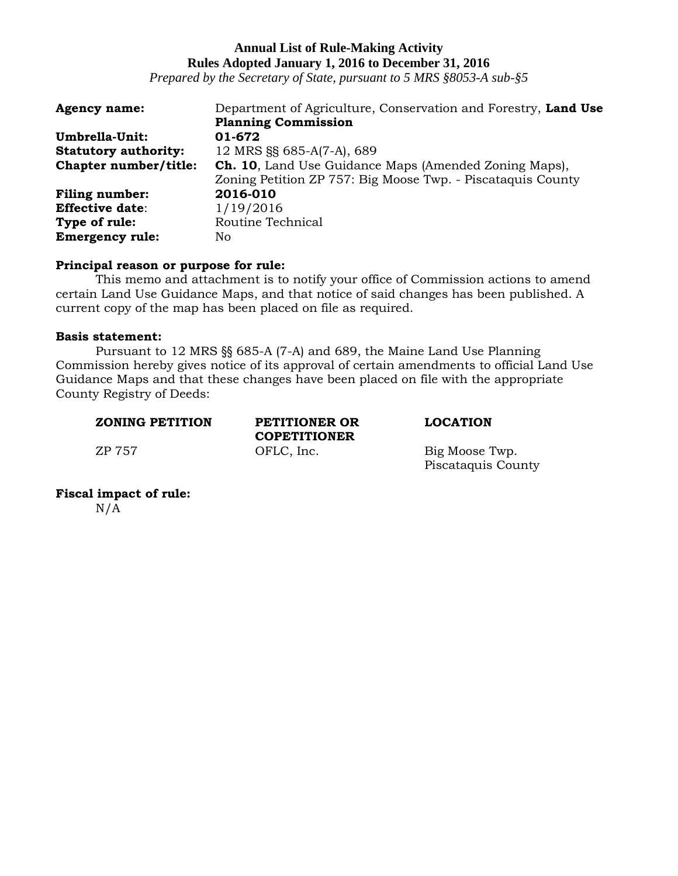*Prepared by the Secretary of State, pursuant to 5 MRS §8053-A sub-§5*

| <b>Agency name:</b>         | Department of Agriculture, Conservation and Forestry, Land Use |
|-----------------------------|----------------------------------------------------------------|
|                             | <b>Planning Commission</b>                                     |
| Umbrella-Unit:              | 01-672                                                         |
| <b>Statutory authority:</b> | 12 MRS §§ 685-A(7-A), 689                                      |
| Chapter number/title:       | <b>Ch. 10</b> , Land Use Guidance Maps (Amended Zoning Maps),  |
|                             | Zoning Petition ZP 757: Big Moose Twp. - Piscataquis County    |
| <b>Filing number:</b>       | 2016-010                                                       |
| <b>Effective date:</b>      | 1/19/2016                                                      |
| Type of rule:               | Routine Technical                                              |
| <b>Emergency rule:</b>      | No                                                             |

## **Principal reason or purpose for rule:**

This memo and attachment is to notify your office of Commission actions to amend certain Land Use Guidance Maps, and that notice of said changes has been published. A current copy of the map has been placed on file as required.

#### **Basis statement:**

Pursuant to 12 MRS §§ 685-A (7-A) and 689, the Maine Land Use Planning Commission hereby gives notice of its approval of certain amendments to official Land Use Guidance Maps and that these changes have been placed on file with the appropriate County Registry of Deeds:

| <b>ZONING PETITION</b> | PETITIONER OR<br><b>COPETITIONER</b> |  |
|------------------------|--------------------------------------|--|
| ZP 757                 | OFLC, Inc.                           |  |

#### $LOCATION$

Big Moose Twp. Piscataquis County

**Fiscal impact of rule:**   $N/A$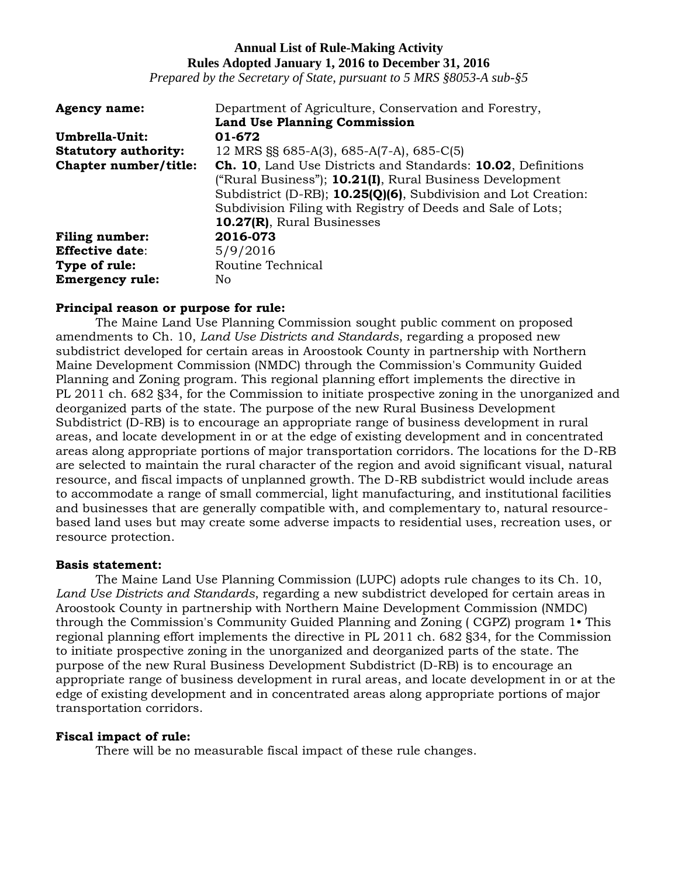*Prepared by the Secretary of State, pursuant to 5 MRS §8053-A sub-§5*

| <b>Agency name:</b>         | Department of Agriculture, Conservation and Forestry,               |
|-----------------------------|---------------------------------------------------------------------|
|                             | <b>Land Use Planning Commission</b>                                 |
| Umbrella-Unit:              | 01-672                                                              |
| <b>Statutory authority:</b> | 12 MRS $\S$ 685-A(3), 685-A(7-A), 685-C(5)                          |
| Chapter number/title:       | <b>Ch. 10, Land Use Districts and Standards: 10.02, Definitions</b> |
|                             | ("Rural Business"); 10.21(I), Rural Business Development            |
|                             | Subdistrict (D-RB); 10.25(Q)(6), Subdivision and Lot Creation:      |
|                             | Subdivision Filing with Registry of Deeds and Sale of Lots;         |
|                             | 10.27(R), Rural Businesses                                          |
| <b>Filing number:</b>       | 2016-073                                                            |
| <b>Effective date:</b>      | 5/9/2016                                                            |
| Type of rule:               | Routine Technical                                                   |
| <b>Emergency rule:</b>      | No.                                                                 |

## **Principal reason or purpose for rule:**

The Maine Land Use Planning Commission sought public comment on proposed amendments to Ch. 10, *Land Use Districts and Standards*, regarding a proposed new subdistrict developed for certain areas in Aroostook County in partnership with Northern Maine Development Commission (NMDC) through the Commission's Community Guided Planning and Zoning program. This regional planning effort implements the directive in PL 2011 ch. 682 §34, for the Commission to initiate prospective zoning in the unorganized and deorganized parts of the state. The purpose of the new Rural Business Development Subdistrict (D-RB) is to encourage an appropriate range of business development in rural areas, and locate development in or at the edge of existing development and in concentrated areas along appropriate portions of major transportation corridors. The locations for the D-RB are selected to maintain the rural character of the region and avoid significant visual, natural resource, and fiscal impacts of unplanned growth. The D-RB subdistrict would include areas to accommodate a range of small commercial, light manufacturing, and institutional facilities and businesses that are generally compatible with, and complementary to, natural resourcebased land uses but may create some adverse impacts to residential uses, recreation uses, or resource protection.

## **Basis statement:**

The Maine Land Use Planning Commission (LUPC) adopts rule changes to its Ch. 10, *Land Use Districts and Standards*, regarding a new subdistrict developed for certain areas in Aroostook County in partnership with Northern Maine Development Commission (NMDC) through the Commission's Community Guided Planning and Zoning ( CGPZ) program 1• This regional planning effort implements the directive in PL 2011 ch. 682 §34, for the Commission to initiate prospective zoning in the unorganized and deorganized parts of the state. The purpose of the new Rural Business Development Subdistrict (D-RB) is to encourage an appropriate range of business development in rural areas, and locate development in or at the edge of existing development and in concentrated areas along appropriate portions of major transportation corridors.

## **Fiscal impact of rule:**

There will be no measurable fiscal impact of these rule changes.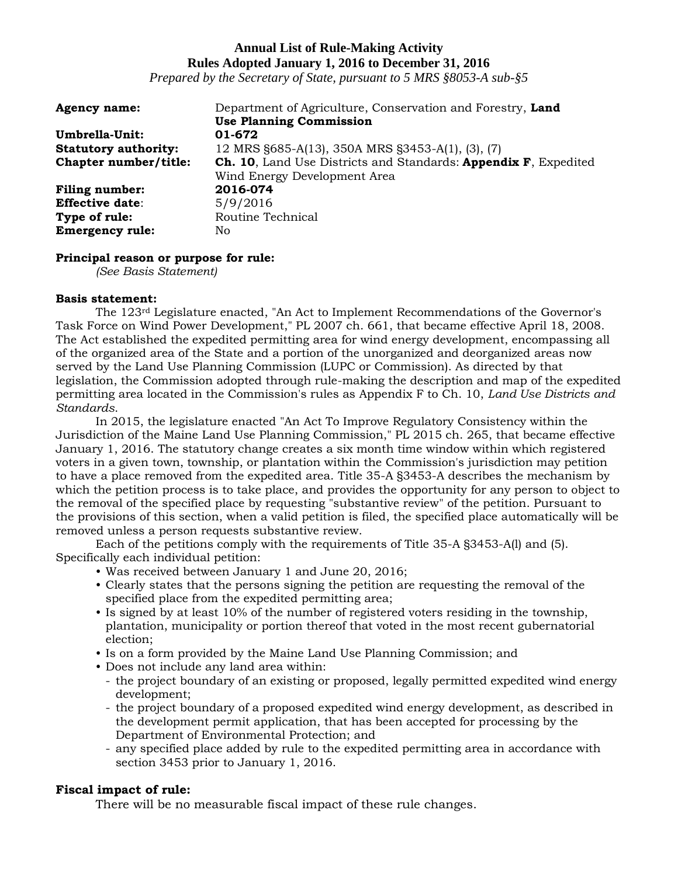*Prepared by the Secretary of State, pursuant to 5 MRS §8053-A sub-§5*

| <b>Agency name:</b>         | Department of Agriculture, Conservation and Forestry, Land      |
|-----------------------------|-----------------------------------------------------------------|
|                             | <b>Use Planning Commission</b>                                  |
| Umbrella-Unit:              | 01-672                                                          |
| <b>Statutory authority:</b> | 12 MRS §685-A(13), 350A MRS §3453-A(1), (3), (7)                |
| Chapter number/title:       | Ch. 10, Land Use Districts and Standards: Appendix F, Expedited |
|                             | Wind Energy Development Area                                    |
| <b>Filing number:</b>       | 2016-074                                                        |
| <b>Effective date:</b>      | 5/9/2016                                                        |
| Type of rule:               | Routine Technical                                               |
| <b>Emergency rule:</b>      | No                                                              |

## **Principal reason or purpose for rule:**

*(See Basis Statement)*

#### **Basis statement:**

The 123rd Legislature enacted, "An Act to Implement Recommendations of the Governor's Task Force on Wind Power Development," PL 2007 ch. 661, that became effective April 18, 2008. The Act established the expedited permitting area for wind energy development, encompassing all of the organized area of the State and a portion of the unorganized and deorganized areas now served by the Land Use Planning Commission (LUPC or Commission). As directed by that legislation, the Commission adopted through rule-making the description and map of the expedited permitting area located in the Commission's rules as Appendix F to Ch. 10, *Land Use Districts and Standards*.

In 2015, the legislature enacted "An Act To Improve Regulatory Consistency within the Jurisdiction of the Maine Land Use Planning Commission," PL 2015 ch. 265, that became effective January 1, 2016. The statutory change creates a six month time window within which registered voters in a given town, township, or plantation within the Commission's jurisdiction may petition to have a place removed from the expedited area. Title 35-A §3453-A describes the mechanism by which the petition process is to take place, and provides the opportunity for any person to object to the removal of the specified place by requesting "substantive review" of the petition. Pursuant to the provisions of this section, when a valid petition is filed, the specified place automatically will be removed unless a person requests substantive review.

Each of the petitions comply with the requirements of Title 35-A §3453-A(l) and (5). Specifically each individual petition:

- Was received between January 1 and June 20, 2016;
- Clearly states that the persons signing the petition are requesting the removal of the specified place from the expedited permitting area;
- Is signed by at least 10% of the number of registered voters residing in the township, plantation, municipality or portion thereof that voted in the most recent gubernatorial election;
- Is on a form provided by the Maine Land Use Planning Commission; and
- Does not include any land area within:
	- the project boundary of an existing or proposed, legally permitted expedited wind energy development;
	- the project boundary of a proposed expedited wind energy development, as described in the development permit application, that has been accepted for processing by the Department of Environmental Protection; and
	- any specified place added by rule to the expedited permitting area in accordance with section 3453 prior to January 1, 2016.

# **Fiscal impact of rule:**

There will be no measurable fiscal impact of these rule changes.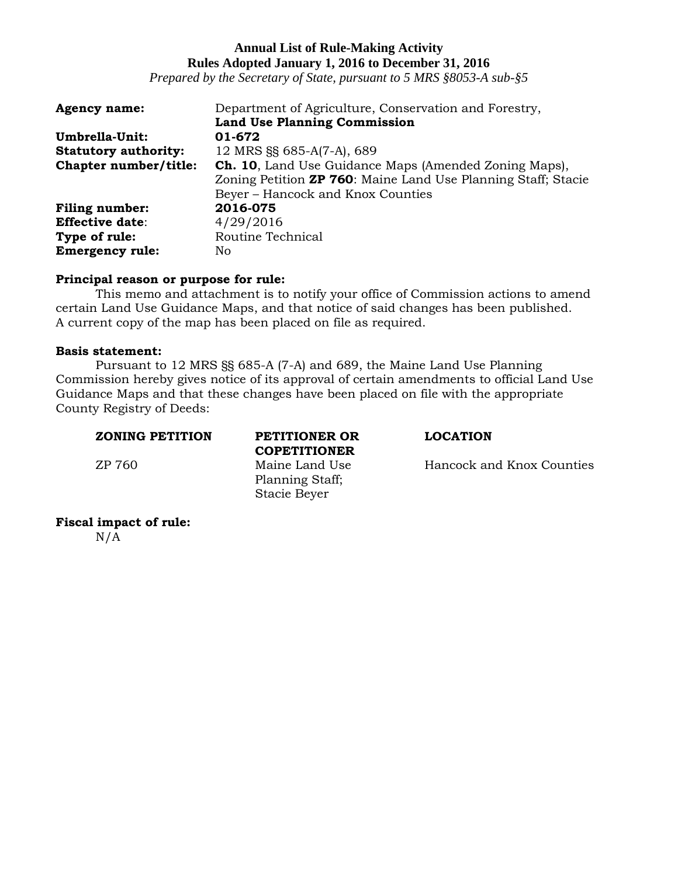*Prepared by the Secretary of State, pursuant to 5 MRS §8053-A sub-§5*

| <b>Agency name:</b>         | Department of Agriculture, Conservation and Forestry,                 |
|-----------------------------|-----------------------------------------------------------------------|
|                             | <b>Land Use Planning Commission</b>                                   |
| Umbrella-Unit:              | 01-672                                                                |
| <b>Statutory authority:</b> | 12 MRS §§ 685-A(7-A), 689                                             |
| Chapter number/title:       | <b>Ch. 10</b> , Land Use Guidance Maps (Amended Zoning Maps),         |
|                             | Zoning Petition <b>ZP 760</b> : Maine Land Use Planning Staff; Stacie |
|                             | Beyer - Hancock and Knox Counties                                     |
| <b>Filing number:</b>       | 2016-075                                                              |
| <b>Effective date:</b>      | 4/29/2016                                                             |
| Type of rule:               | Routine Technical                                                     |
| <b>Emergency rule:</b>      | No.                                                                   |

## **Principal reason or purpose for rule:**

This memo and attachment is to notify your office of Commission actions to amend certain Land Use Guidance Maps, and that notice of said changes has been published. A current copy of the map has been placed on file as required.

## **Basis statement:**

Pursuant to 12 MRS §§ 685-A (7-A) and 689, the Maine Land Use Planning Commission hereby gives notice of its approval of certain amendments to official Land Use Guidance Maps and that these changes have been placed on file with the appropriate County Registry of Deeds:

#### **ZONING PETITION PETITIONER OR LOCATION**

**COPETITIONER** Planning Staff; Stacie Beyer

ZP 760 Maine Land Use Hancock and Knox Counties

# **Fiscal impact of rule:**

 $N/A$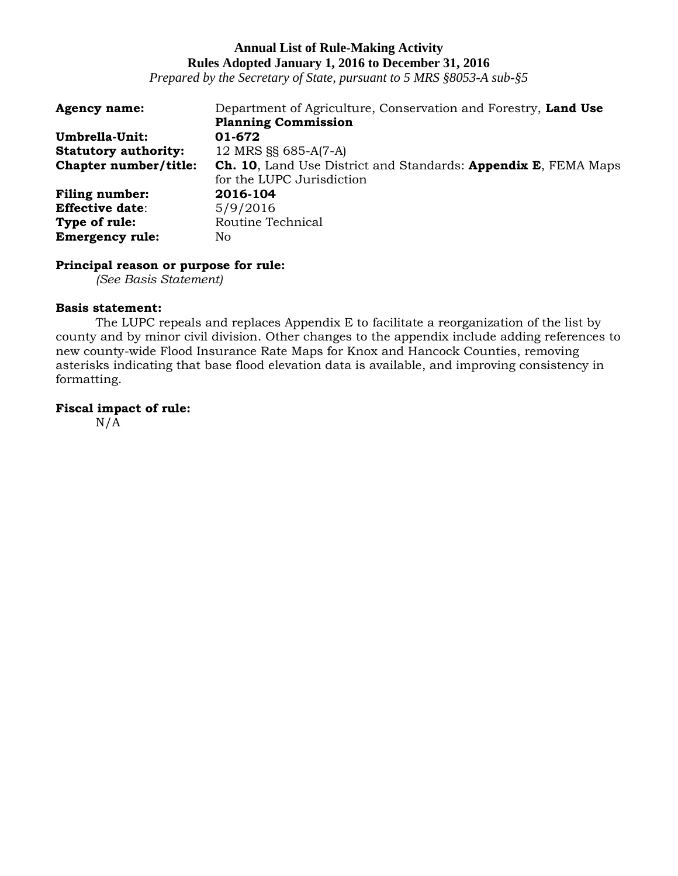*Prepared by the Secretary of State, pursuant to 5 MRS §8053-A sub-§5*

| <b>Agency name:</b>         | Department of Agriculture, Conservation and Forestry, Land Use        |
|-----------------------------|-----------------------------------------------------------------------|
|                             | <b>Planning Commission</b>                                            |
| Umbrella-Unit:              | 01-672                                                                |
| <b>Statutory authority:</b> | 12 MRS §§ 685-A(7-A)                                                  |
| Chapter number/title:       | <b>Ch. 10, Land Use District and Standards: Appendix E, FEMA Maps</b> |
|                             | for the LUPC Jurisdiction                                             |
| <b>Filing number:</b>       | 2016-104                                                              |
| <b>Effective date:</b>      | 5/9/2016                                                              |
| Type of rule:               | Routine Technical                                                     |
| <b>Emergency rule:</b>      | No.                                                                   |

## **Principal reason or purpose for rule:**

*(See Basis Statement)*

## **Basis statement:**

The LUPC repeals and replaces Appendix E to facilitate a reorganization of the list by county and by minor civil division. Other changes to the appendix include adding references to new county-wide Flood Insurance Rate Maps for Knox and Hancock Counties, removing asterisks indicating that base flood elevation data is available, and improving consistency in formatting.

## **Fiscal impact of rule:**

 $N/\overline{A}$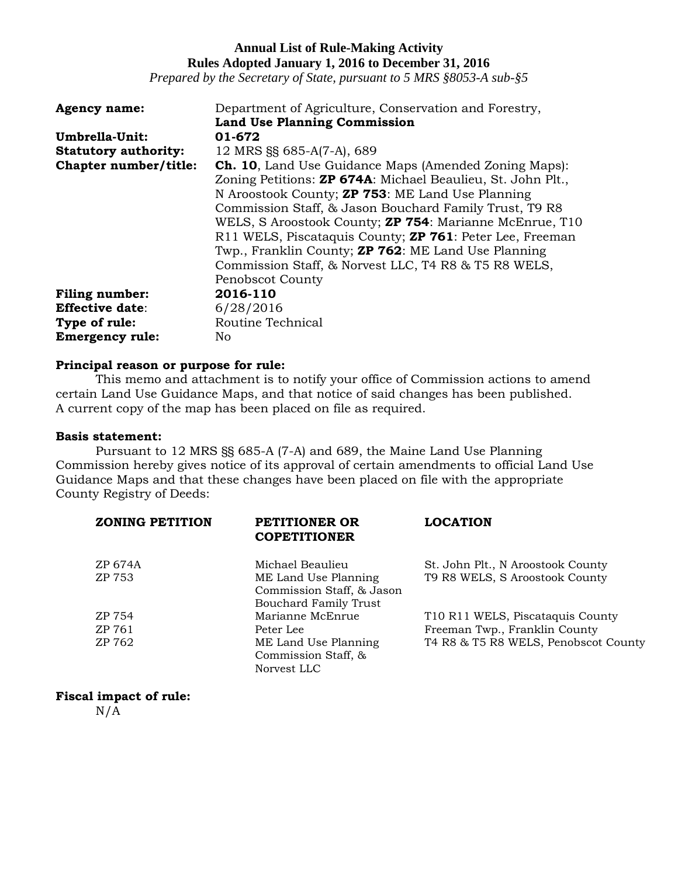*Prepared by the Secretary of State, pursuant to 5 MRS §8053-A sub-§5*

| <b>Agency name:</b>         | Department of Agriculture, Conservation and Forestry,               |
|-----------------------------|---------------------------------------------------------------------|
|                             | <b>Land Use Planning Commission</b>                                 |
| Umbrella-Unit:              | 01-672                                                              |
| <b>Statutory authority:</b> | 12 MRS §§ 685-A(7-A), 689                                           |
| Chapter number/title:       | <b>Ch. 10</b> , Land Use Guidance Maps (Amended Zoning Maps):       |
|                             | Zoning Petitions: <b>ZP 674A</b> : Michael Beaulieu, St. John Plt., |
|                             | N Aroostook County; <b>ZP 753</b> : ME Land Use Planning            |
|                             | Commission Staff, & Jason Bouchard Family Trust, T9 R8              |
|                             | WELS, S Aroostook County; <b>ZP 754</b> : Marianne McEnrue, T10     |
|                             | R11 WELS, Piscataquis County; <b>ZP 761</b> : Peter Lee, Freeman    |
|                             | Twp., Franklin County; <b>ZP 762</b> : ME Land Use Planning         |
|                             | Commission Staff, & Norvest LLC, T4 R8 & T5 R8 WELS,                |
|                             | <b>Penobscot County</b>                                             |
| <b>Filing number:</b>       | 2016-110                                                            |
| <b>Effective date:</b>      | 6/28/2016                                                           |
| Type of rule:               | Routine Technical                                                   |
| <b>Emergency rule:</b>      | No                                                                  |

## **Principal reason or purpose for rule:**

This memo and attachment is to notify your office of Commission actions to amend certain Land Use Guidance Maps, and that notice of said changes has been published. A current copy of the map has been placed on file as required.

#### **Basis statement:**

Pursuant to 12 MRS §§ 685-A (7-A) and 689, the Maine Land Use Planning Commission hereby gives notice of its approval of certain amendments to official Land Use Guidance Maps and that these changes have been placed on file with the appropriate County Registry of Deeds:

| PETITIONER OR<br><b>COPETITIONER</b>                                              | <b>LOCATION</b>                      |
|-----------------------------------------------------------------------------------|--------------------------------------|
| Michael Beaulieu                                                                  | St. John Plt., N Aroostook County    |
| ME Land Use Planning<br>Commission Staff, & Jason<br><b>Bouchard Family Trust</b> | T9 R8 WELS, S Aroostook County       |
| Marianne McEnrue                                                                  | T10 R11 WELS, Piscataquis County     |
| Peter Lee                                                                         | Freeman Twp., Franklin County        |
| ME Land Use Planning<br>Commission Staff, &                                       | T4 R8 & T5 R8 WELS, Penobscot County |
|                                                                                   | Norvest LLC                          |

## **Fiscal impact of rule:**

 $N/A$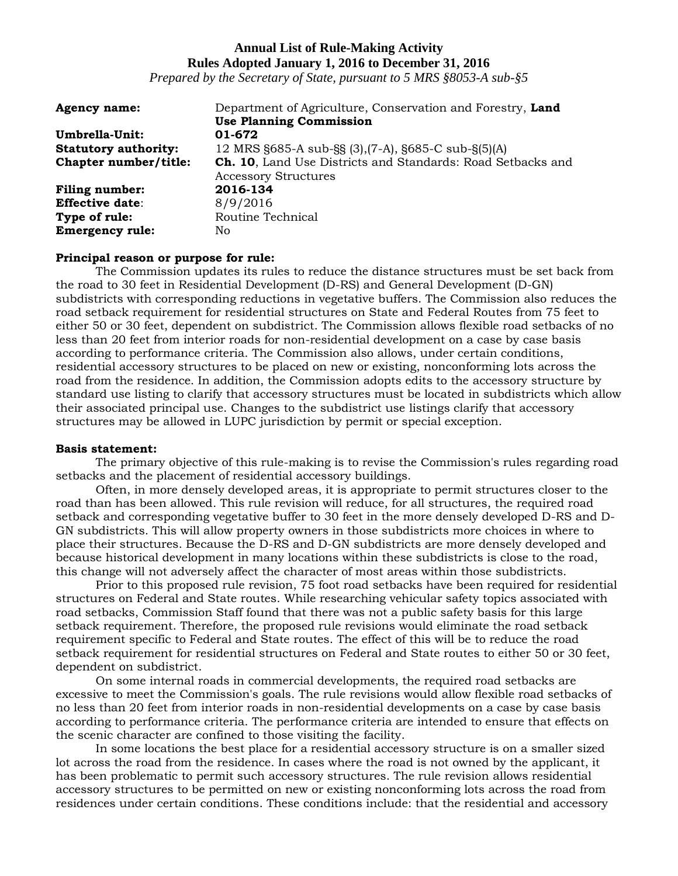*Prepared by the Secretary of State, pursuant to 5 MRS §8053-A sub-§5*

| <b>Agency name:</b>         | Department of Agriculture, Conservation and Forestry, Land          |
|-----------------------------|---------------------------------------------------------------------|
|                             | <b>Use Planning Commission</b>                                      |
| Umbrella-Unit:              | 01-672                                                              |
| <b>Statutory authority:</b> | 12 MRS §685-A sub-§§ (3), (7-A), §685-C sub-§(5)(A)                 |
| Chapter number/title:       | <b>Ch. 10</b> , Land Use Districts and Standards: Road Setbacks and |
|                             | <b>Accessory Structures</b>                                         |
| <b>Filing number:</b>       | 2016-134                                                            |
| <b>Effective date:</b>      | 8/9/2016                                                            |
| Type of rule:               | Routine Technical                                                   |
| <b>Emergency rule:</b>      | No.                                                                 |

## **Principal reason or purpose for rule:**

The Commission updates its rules to reduce the distance structures must be set back from the road to 30 feet in Residential Development (D-RS) and General Development (D-GN) subdistricts with corresponding reductions in vegetative buffers. The Commission also reduces the road setback requirement for residential structures on State and Federal Routes from 75 feet to either 50 or 30 feet, dependent on subdistrict. The Commission allows flexible road setbacks of no less than 20 feet from interior roads for non-residential development on a case by case basis according to performance criteria. The Commission also allows, under certain conditions, residential accessory structures to be placed on new or existing, nonconforming lots across the road from the residence. In addition, the Commission adopts edits to the accessory structure by standard use listing to clarify that accessory structures must be located in subdistricts which allow their associated principal use. Changes to the subdistrict use listings clarify that accessory structures may be allowed in LUPC jurisdiction by permit or special exception.

#### **Basis statement:**

The primary objective of this rule-making is to revise the Commission's rules regarding road setbacks and the placement of residential accessory buildings.

Often, in more densely developed areas, it is appropriate to permit structures closer to the road than has been allowed. This rule revision will reduce, for all structures, the required road setback and corresponding vegetative buffer to 30 feet in the more densely developed D-RS and D-GN subdistricts. This will allow property owners in those subdistricts more choices in where to place their structures. Because the D-RS and D-GN subdistricts are more densely developed and because historical development in many locations within these subdistricts is close to the road, this change will not adversely affect the character of most areas within those subdistricts.

Prior to this proposed rule revision, 75 foot road setbacks have been required for residential structures on Federal and State routes. While researching vehicular safety topics associated with road setbacks, Commission Staff found that there was not a public safety basis for this large setback requirement. Therefore, the proposed rule revisions would eliminate the road setback requirement specific to Federal and State routes. The effect of this will be to reduce the road setback requirement for residential structures on Federal and State routes to either 50 or 30 feet, dependent on subdistrict.

On some internal roads in commercial developments, the required road setbacks are excessive to meet the Commission's goals. The rule revisions would allow flexible road setbacks of no less than 20 feet from interior roads in non-residential developments on a case by case basis according to performance criteria. The performance criteria are intended to ensure that effects on the scenic character are confined to those visiting the facility.

In some locations the best place for a residential accessory structure is on a smaller sized lot across the road from the residence. In cases where the road is not owned by the applicant, it has been problematic to permit such accessory structures. The rule revision allows residential accessory structures to be permitted on new or existing nonconforming lots across the road from residences under certain conditions. These conditions include: that the residential and accessory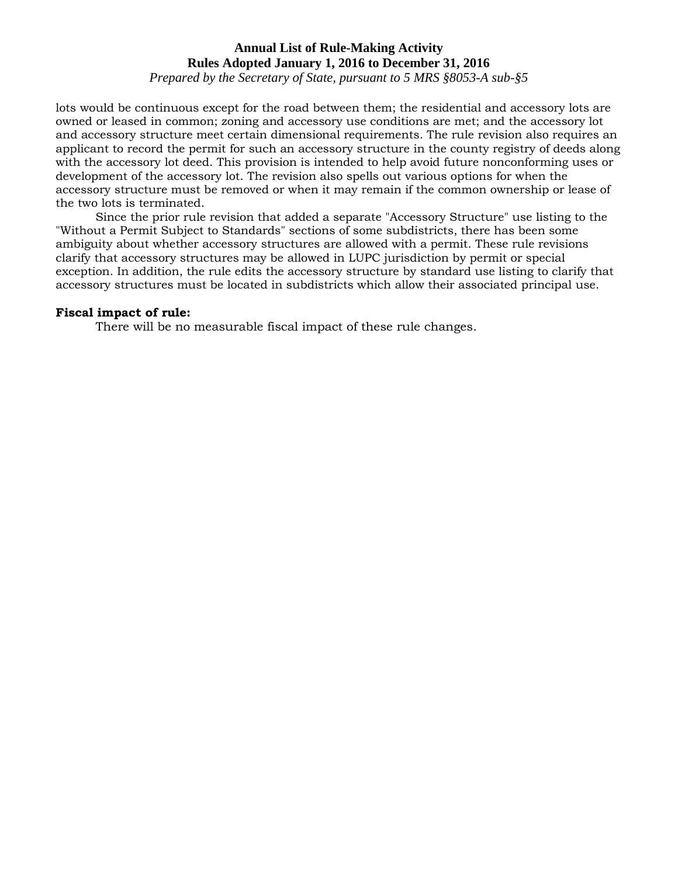*Prepared by the Secretary of State, pursuant to 5 MRS §8053-A sub-§5*

lots would be continuous except for the road between them; the residential and accessory lots are owned or leased in common; zoning and accessory use conditions are met; and the accessory lot and accessory structure meet certain dimensional requirements. The rule revision also requires an applicant to record the permit for such an accessory structure in the county registry of deeds along with the accessory lot deed. This provision is intended to help avoid future nonconforming uses or development of the accessory lot. The revision also spells out various options for when the accessory structure must be removed or when it may remain if the common ownership or lease of the two lots is terminated.

Since the prior rule revision that added a separate "Accessory Structure" use listing to the "Without a Permit Subject to Standards" sections of some subdistricts, there has been some ambiguity about whether accessory structures are allowed with a permit. These rule revisions clarify that accessory structures may be allowed in LUPC jurisdiction by permit or special exception. In addition, the rule edits the accessory structure by standard use listing to clarify that accessory structures must be located in subdistricts which allow their associated principal use.

#### **Fiscal impact of rule:**

There will be no measurable fiscal impact of these rule changes.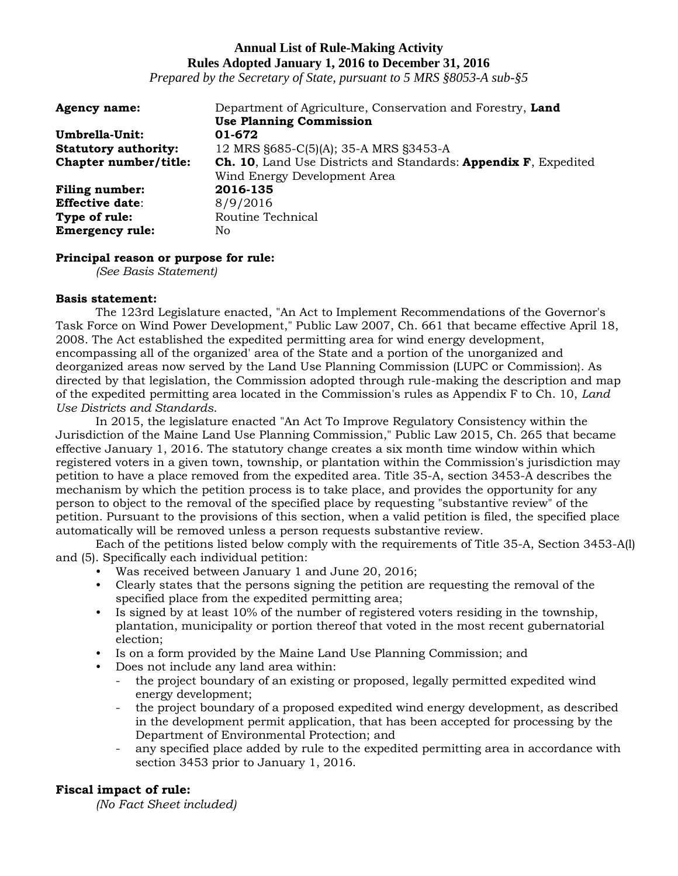*Prepared by the Secretary of State, pursuant to 5 MRS §8053-A sub-§5*

| <b>Agency name:</b>         | Department of Agriculture, Conservation and Forestry, Land      |
|-----------------------------|-----------------------------------------------------------------|
|                             | <b>Use Planning Commission</b>                                  |
| Umbrella-Unit:              | 01-672                                                          |
| <b>Statutory authority:</b> | 12 MRS §685-C(5)(A); 35-A MRS §3453-A                           |
| Chapter number/title:       | Ch. 10, Land Use Districts and Standards: Appendix F, Expedited |
|                             | Wind Energy Development Area                                    |
| <b>Filing number:</b>       | 2016-135                                                        |
| <b>Effective date:</b>      | 8/9/2016                                                        |
| Type of rule:               | Routine Technical                                               |
| <b>Emergency rule:</b>      | No                                                              |

## **Principal reason or purpose for rule:**

*(See Basis Statement)*

## **Basis statement:**

The 123rd Legislature enacted, "An Act to Implement Recommendations of the Governor's Task Force on Wind Power Development," Public Law 2007, Ch. 661 that became effective April 18, 2008. The Act established the expedited permitting area for wind energy development, encompassing all of the organized' area of the State and a portion of the unorganized and deorganized areas now served by the Land Use Planning Commission (LUPC or Commission}. As directed by that legislation, the Commission adopted through rule-making the description and map of the expedited permitting area located in the Commission's rules as Appendix F to Ch. 10, *Land Use Districts and Standards*.

In 2015, the legislature enacted "An Act To Improve Regulatory Consistency within the Jurisdiction of the Maine Land Use Planning Commission," Public Law 2015, Ch. 265 that became effective January 1, 2016. The statutory change creates a six month time window within which registered voters in a given town, township, or plantation within the Commission's jurisdiction may petition to have a place removed from the expedited area. Title 35-A, section 3453-A describes the mechanism by which the petition process is to take place, and provides the opportunity for any person to object to the removal of the specified place by requesting "substantive review" of the petition. Pursuant to the provisions of this section, when a valid petition is filed, the specified place automatically will be removed unless a person requests substantive review.

Each of the petitions listed below comply with the requirements of Title 35-A, Section 3453-A(l) and (5). Specifically each individual petition:

- Was received between January 1 and June 20, 2016;
- Clearly states that the persons signing the petition are requesting the removal of the specified place from the expedited permitting area;
- Is signed by at least 10% of the number of registered voters residing in the township, plantation, municipality or portion thereof that voted in the most recent gubernatorial election;
- Is on a form provided by the Maine Land Use Planning Commission; and
- Does not include any land area within:
	- the project boundary of an existing or proposed, legally permitted expedited wind energy development;
	- the project boundary of a proposed expedited wind energy development, as described in the development permit application, that has been accepted for processing by the Department of Environmental Protection; and
	- any specified place added by rule to the expedited permitting area in accordance with section 3453 prior to January 1, 2016.

## **Fiscal impact of rule:**

*(No Fact Sheet included)*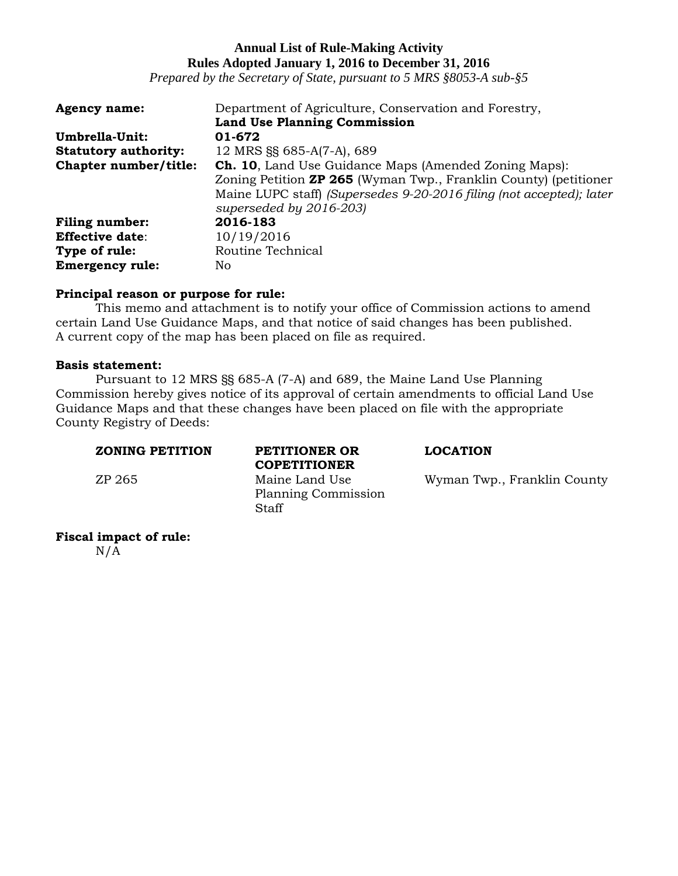*Prepared by the Secretary of State, pursuant to 5 MRS §8053-A sub-§5*

| <b>Agency name:</b>         | Department of Agriculture, Conservation and Forestry,                   |
|-----------------------------|-------------------------------------------------------------------------|
|                             | <b>Land Use Planning Commission</b>                                     |
| Umbrella-Unit:              | 01-672                                                                  |
| <b>Statutory authority:</b> | 12 MRS §§ 685-A(7-A), 689                                               |
| Chapter number/title:       | <b>Ch. 10, Land Use Guidance Maps (Amended Zoning Maps):</b>            |
|                             | Zoning Petition <b>ZP 265</b> (Wyman Twp., Franklin County) (petitioner |
|                             | Maine LUPC staff) (Supersedes 9-20-2016 filing (not accepted); later    |
|                             | superseded by 2016-203)                                                 |
| <b>Filing number:</b>       | 2016-183                                                                |
| <b>Effective date:</b>      | 10/19/2016                                                              |
| Type of rule:               | Routine Technical                                                       |
| <b>Emergency rule:</b>      | No                                                                      |

#### **Principal reason or purpose for rule:**

This memo and attachment is to notify your office of Commission actions to amend certain Land Use Guidance Maps, and that notice of said changes has been published. A current copy of the map has been placed on file as required.

## **Basis statement:**

Pursuant to 12 MRS §§ 685-A (7-A) and 689, the Maine Land Use Planning Commission hereby gives notice of its approval of certain amendments to official Land Use Guidance Maps and that these changes have been placed on file with the appropriate County Registry of Deeds:

#### **ZONING PETITION PETITIONER OR LOCATION**

**Fiscal impact of rule:**   $N/A$ 

**COPETITIONER** Planning Commission Staff

ZP 265 Maine Land Use Wyman Twp., Franklin County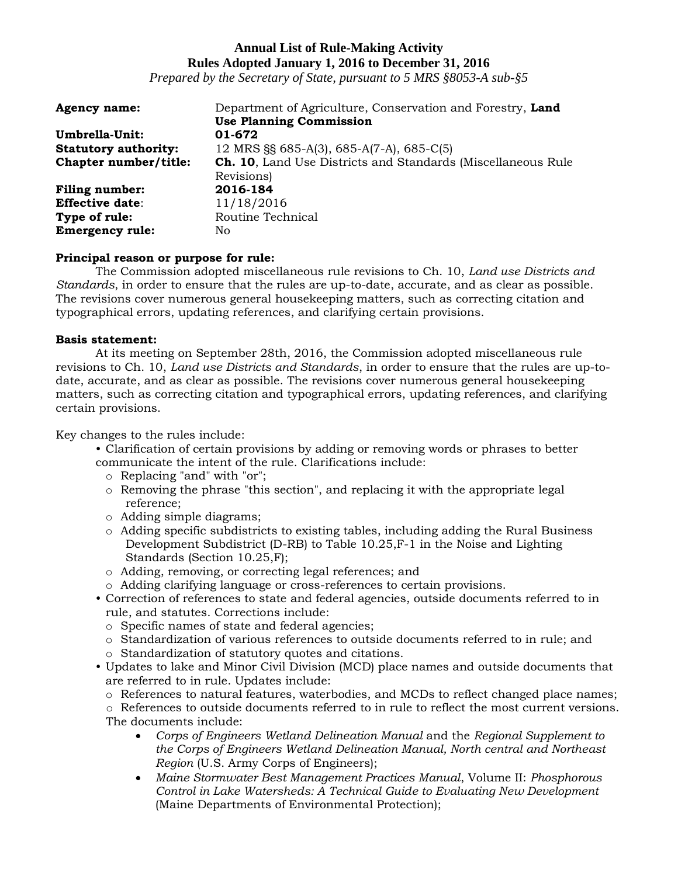*Prepared by the Secretary of State, pursuant to 5 MRS §8053-A sub-§5*

| <b>Agency name:</b>         | Department of Agriculture, Conservation and Forestry, Land          |
|-----------------------------|---------------------------------------------------------------------|
|                             | <b>Use Planning Commission</b>                                      |
| Umbrella-Unit:              | 01-672                                                              |
| <b>Statutory authority:</b> | 12 MRS §§ 685-A(3), 685-A(7-A), 685-C(5)                            |
| Chapter number/title:       | <b>Ch. 10, Land Use Districts and Standards (Miscellaneous Rule</b> |
|                             | Revisions)                                                          |
| <b>Filing number:</b>       | 2016-184                                                            |
| <b>Effective date:</b>      | 11/18/2016                                                          |
| Type of rule:               | Routine Technical                                                   |
| <b>Emergency rule:</b>      | No                                                                  |

## **Principal reason or purpose for rule:**

The Commission adopted miscellaneous rule revisions to Ch. 10, *Land use Districts and Standards*, in order to ensure that the rules are up-to-date, accurate, and as clear as possible. The revisions cover numerous general housekeeping matters, such as correcting citation and typographical errors, updating references, and clarifying certain provisions.

## **Basis statement:**

At its meeting on September 28th, 2016, the Commission adopted miscellaneous rule revisions to Ch. 10, *Land use Districts and Standards*, in order to ensure that the rules are up-todate, accurate, and as clear as possible. The revisions cover numerous general housekeeping matters, such as correcting citation and typographical errors, updating references, and clarifying certain provisions.

Key changes to the rules include:

- Clarification of certain provisions by adding or removing words or phrases to better communicate the intent of the rule. Clarifications include:
	- o Replacing "and" with "or";
	- $\circ$  Removing the phrase "this section", and replacing it with the appropriate legal reference;
	- o Adding simple diagrams;
	- o Adding specific subdistricts to existing tables, including adding the Rural Business Development Subdistrict (D-RB) to Table 10.25,F-1 in the Noise and Lighting Standards (Section 10.25,F);
	- o Adding, removing, or correcting legal references; and
	- o Adding clarifying language or cross-references to certain provisions.
- Correction of references to state and federal agencies, outside documents referred to in rule, and statutes. Corrections include:
	- o Specific names of state and federal agencies;
	- o Standardization of various references to outside documents referred to in rule; and
	- o Standardization of statutory quotes and citations.
- Updates to lake and Minor Civil Division (MCD) place names and outside documents that are referred to in rule. Updates include:
	- o References to natural features, waterbodies, and MCDs to reflect changed place names;
	- o References to outside documents referred to in rule to reflect the most current versions. The documents include:
		- *Corps of Engineers Wetland Delineation Manual* and the *Regional Supplement to the Corps of Engineers Wetland Delineation Manual, North central and Northeast Region* (U.S. Army Corps of Engineers);
		- *Maine Stormwater Best Management Practices Manual*, Volume II: *Phosphorous Control in Lake Watersheds: A Technical Guide to Evaluating New Development* (Maine Departments of Environmental Protection);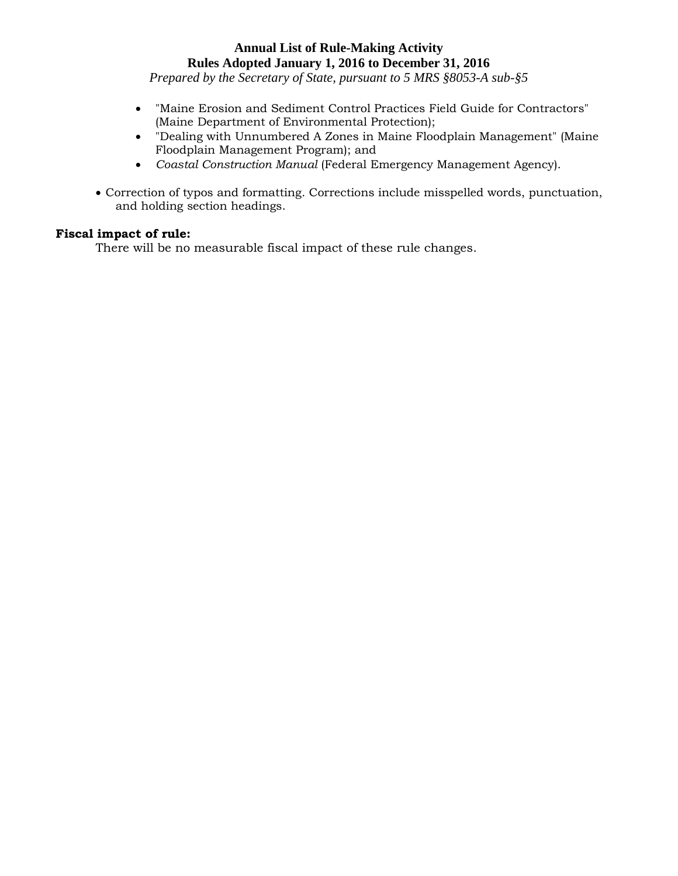*Prepared by the Secretary of State, pursuant to 5 MRS §8053-A sub-§5*

- "Maine Erosion and Sediment Control Practices Field Guide for Contractors" (Maine Department of Environmental Protection);
- "Dealing with Unnumbered A Zones in Maine Floodplain Management" (Maine Floodplain Management Program); and
- *Coastal Construction Manual* (Federal Emergency Management Agency).
- Correction of typos and formatting. Corrections include misspelled words, punctuation, and holding section headings.

## **Fiscal impact of rule:**

There will be no measurable fiscal impact of these rule changes.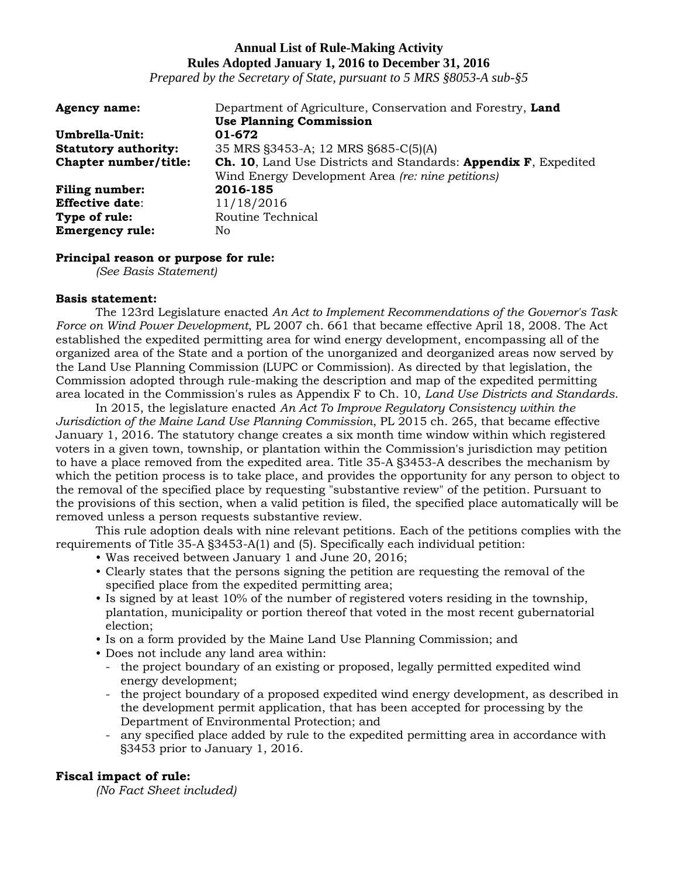*Prepared by the Secretary of State, pursuant to 5 MRS §8053-A sub-§5*

| <b>Agency name:</b>         | Department of Agriculture, Conservation and Forestry, Land             |
|-----------------------------|------------------------------------------------------------------------|
|                             | <b>Use Planning Commission</b>                                         |
| Umbrella-Unit:              | 01-672                                                                 |
| <b>Statutory authority:</b> | 35 MRS §3453-A; 12 MRS §685-C(5)(A)                                    |
| Chapter number/title:       | <b>Ch. 10, Land Use Districts and Standards: Appendix F, Expedited</b> |
|                             | Wind Energy Development Area (re: nine petitions)                      |
| <b>Filing number:</b>       | 2016-185                                                               |
| <b>Effective date:</b>      | 11/18/2016                                                             |
| Type of rule:               | Routine Technical                                                      |
| <b>Emergency rule:</b>      | No                                                                     |

## **Principal reason or purpose for rule:**

*(See Basis Statement)*

## **Basis statement:**

The 123rd Legislature enacted *An Act to Implement Recommendations of the Governor's Task Force on Wind Power Development*, PL 2007 ch. 661 that became effective April 18, 2008. The Act established the expedited permitting area for wind energy development, encompassing all of the organized area of the State and a portion of the unorganized and deorganized areas now served by the Land Use Planning Commission (LUPC or Commission). As directed by that legislation, the Commission adopted through rule-making the description and map of the expedited permitting area located in the Commission's rules as Appendix F to Ch. 10, *Land Use Districts and Standards*.

In 2015, the legislature enacted *An Act To Improve Regulatory Consistency within the Jurisdiction of the Maine Land Use Planning Commission*, PL 2015 ch. 265, that became effective January 1, 2016. The statutory change creates a six month time window within which registered voters in a given town, township, or plantation within the Commission's jurisdiction may petition to have a place removed from the expedited area. Title 35-A §3453-A describes the mechanism by which the petition process is to take place, and provides the opportunity for any person to object to the removal of the specified place by requesting "substantive review" of the petition. Pursuant to the provisions of this section, when a valid petition is filed, the specified place automatically will be removed unless a person requests substantive review.

This rule adoption deals with nine relevant petitions. Each of the petitions complies with the requirements of Title 35-A §3453-A(1) and (5). Specifically each individual petition:

- Was received between January 1 and June 20, 2016;
- Clearly states that the persons signing the petition are requesting the removal of the specified place from the expedited permitting area;
- Is signed by at least 10% of the number of registered voters residing in the township, plantation, municipality or portion thereof that voted in the most recent gubernatorial election;
- Is on a form provided by the Maine Land Use Planning Commission; and
- Does not include any land area within:
	- the project boundary of an existing or proposed, legally permitted expedited wind energy development;
	- the project boundary of a proposed expedited wind energy development, as described in the development permit application, that has been accepted for processing by the Department of Environmental Protection; and
	- any specified place added by rule to the expedited permitting area in accordance with §3453 prior to January 1, 2016.

## **Fiscal impact of rule:**

*(No Fact Sheet included)*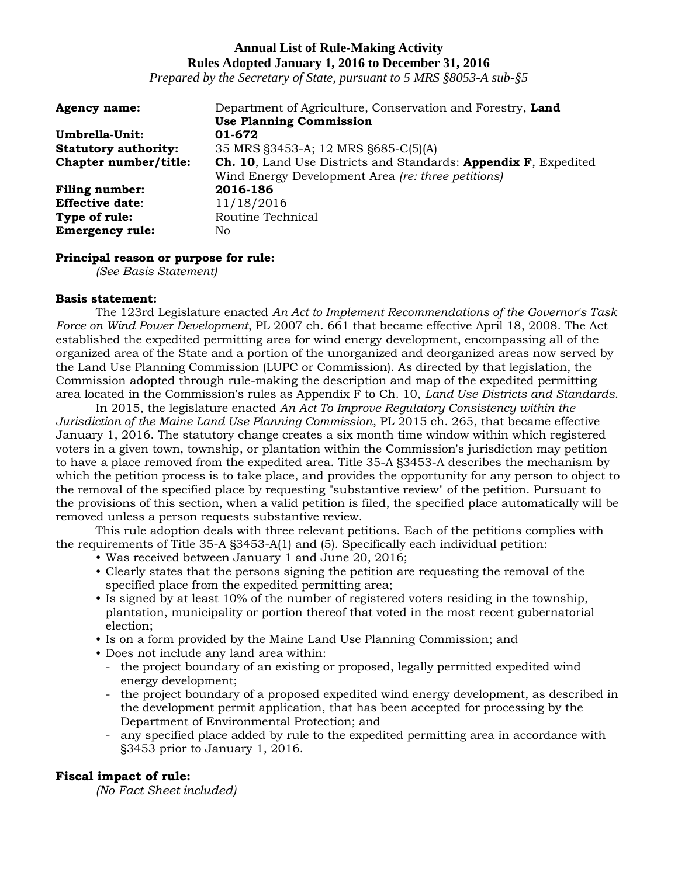*Prepared by the Secretary of State, pursuant to 5 MRS §8053-A sub-§5*

| <b>Agency name:</b>         | Department of Agriculture, Conservation and Forestry, Land             |
|-----------------------------|------------------------------------------------------------------------|
|                             | <b>Use Planning Commission</b>                                         |
| Umbrella-Unit:              | 01-672                                                                 |
| <b>Statutory authority:</b> | 35 MRS §3453-A; 12 MRS §685-C(5)(A)                                    |
| Chapter number/title:       | <b>Ch. 10, Land Use Districts and Standards: Appendix F, Expedited</b> |
|                             | Wind Energy Development Area (re: three petitions)                     |
| <b>Filing number:</b>       | 2016-186                                                               |
| <b>Effective date:</b>      | 11/18/2016                                                             |
| Type of rule:               | Routine Technical                                                      |
| <b>Emergency rule:</b>      | No                                                                     |

## **Principal reason or purpose for rule:**

*(See Basis Statement)*

## **Basis statement:**

The 123rd Legislature enacted *An Act to Implement Recommendations of the Governor's Task Force on Wind Power Development*, PL 2007 ch. 661 that became effective April 18, 2008. The Act established the expedited permitting area for wind energy development, encompassing all of the organized area of the State and a portion of the unorganized and deorganized areas now served by the Land Use Planning Commission (LUPC or Commission). As directed by that legislation, the Commission adopted through rule-making the description and map of the expedited permitting area located in the Commission's rules as Appendix F to Ch. 10, *Land Use Districts and Standards*.

In 2015, the legislature enacted *An Act To Improve Regulatory Consistency within the Jurisdiction of the Maine Land Use Planning Commission*, PL 2015 ch. 265, that became effective January 1, 2016. The statutory change creates a six month time window within which registered voters in a given town, township, or plantation within the Commission's jurisdiction may petition to have a place removed from the expedited area. Title 35-A §3453-A describes the mechanism by which the petition process is to take place, and provides the opportunity for any person to object to the removal of the specified place by requesting "substantive review" of the petition. Pursuant to the provisions of this section, when a valid petition is filed, the specified place automatically will be removed unless a person requests substantive review.

This rule adoption deals with three relevant petitions. Each of the petitions complies with the requirements of Title 35-A §3453-A(1) and (5). Specifically each individual petition:

- Was received between January 1 and June 20, 2016;
- Clearly states that the persons signing the petition are requesting the removal of the specified place from the expedited permitting area;
- Is signed by at least 10% of the number of registered voters residing in the township, plantation, municipality or portion thereof that voted in the most recent gubernatorial election;
- Is on a form provided by the Maine Land Use Planning Commission; and
- Does not include any land area within:
	- the project boundary of an existing or proposed, legally permitted expedited wind energy development;
	- the project boundary of a proposed expedited wind energy development, as described in the development permit application, that has been accepted for processing by the Department of Environmental Protection; and
	- any specified place added by rule to the expedited permitting area in accordance with §3453 prior to January 1, 2016.

## **Fiscal impact of rule:**

*(No Fact Sheet included)*